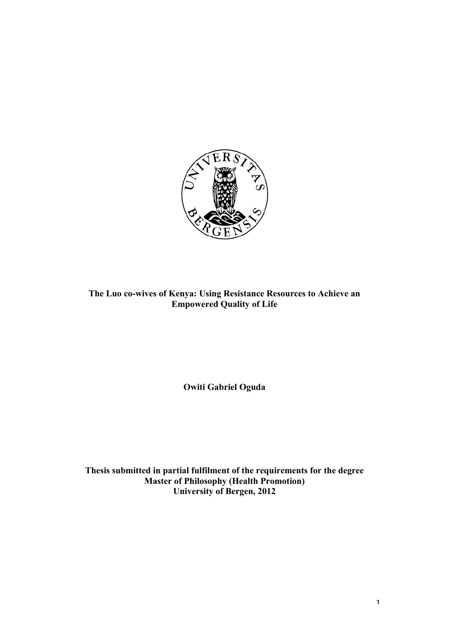

**Chronic Stress and** <br>Chronic Stress and  $\frac{1}{2}$ **The Luo co-wives of Kenya: Using Resistance Resources to Achieve an Empowered Quality of Life** 

**Owiti Gabriel Oguda**

**Thesis submitted in partial fulfilment of the requirements for the degree Master of Philosophy (Health Promotion) University of Bergen, 2012**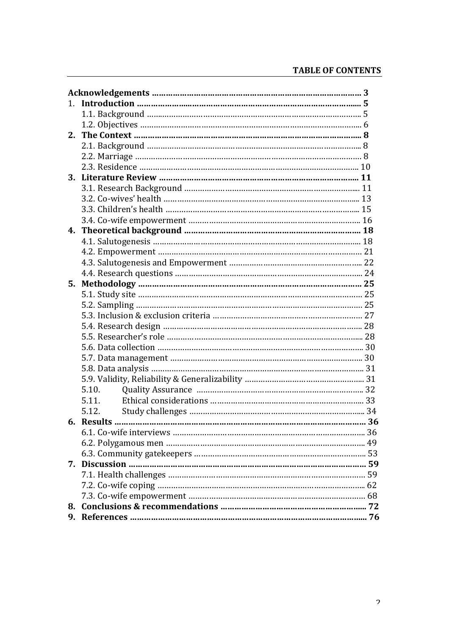| 2. |       |  |
|----|-------|--|
|    |       |  |
|    |       |  |
|    |       |  |
|    |       |  |
|    |       |  |
|    |       |  |
|    |       |  |
|    |       |  |
|    |       |  |
|    |       |  |
|    |       |  |
|    |       |  |
|    |       |  |
|    |       |  |
|    |       |  |
|    |       |  |
|    |       |  |
|    |       |  |
|    |       |  |
|    |       |  |
|    |       |  |
|    |       |  |
|    |       |  |
|    | 5.10. |  |
|    | 5.11. |  |
|    | 5.12. |  |
|    |       |  |
|    |       |  |
|    |       |  |
|    |       |  |
|    |       |  |
|    |       |  |
|    |       |  |
|    |       |  |
|    |       |  |
|    |       |  |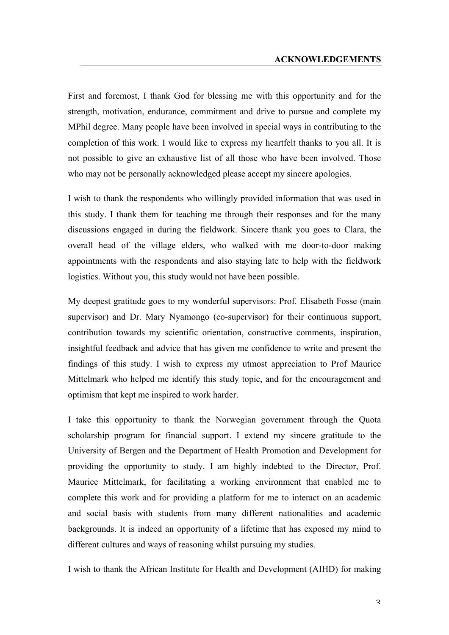## **ACKNOWLEDGEMENTS**

First and foremost, I thank God for blessing me with this opportunity and for the strength, motivation, endurance, commitment and drive to pursue and complete my MPhil degree. Many people have been involved in special ways in contributing to the completion of this work. I would like to express my heartfelt thanks to you all. It is not possible to give an exhaustive list of all those who have been involved. Those who may not be personally acknowledged please accept my sincere apologies.

I wish to thank the respondents who willingly provided information that was used in this study. I thank them for teaching me through their responses and for the many discussions engaged in during the fieldwork. Sincere thank you goes to Clara, the overall head of the village elders, who walked with me door-to-door making appointments with the respondents and also staying late to help with the fieldwork logistics. Without you, this study would not have been possible.

My deepest gratitude goes to my wonderful supervisors: Prof. Elisabeth Fosse (main supervisor) and Dr. Mary Nyamongo (co-supervisor) for their continuous support, contribution towards my scientific orientation, constructive comments, inspiration, insightful feedback and advice that has given me confidence to write and present the findings of this study. I wish to express my utmost appreciation to Prof Maurice Mittelmark who helped me identify this study topic, and for the encouragement and optimism that kept me inspired to work harder.

I take this opportunity to thank the Norwegian government through the Quota scholarship program for financial support. I extend my sincere gratitude to the University of Bergen and the Department of Health Promotion and Development for providing the opportunity to study. I am highly indebted to the Director, Prof. Maurice Mittelmark, for facilitating a working environment that enabled me to complete this work and for providing a platform for me to interact on an academic and social basis with students from many different nationalities and academic backgrounds. It is indeed an opportunity of a lifetime that has exposed my mind to different cultures and ways of reasoning whilst pursuing my studies.

I wish to thank the African Institute for Health and Development (AIHD) for making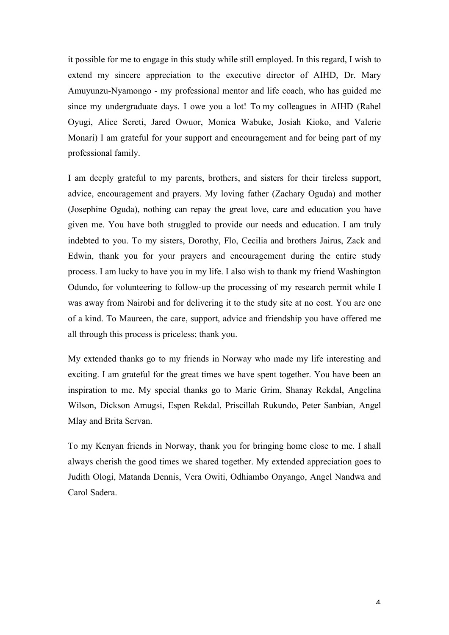it possible for me to engage in this study while still employed. In this regard, I wish to extend my sincere appreciation to the executive director of AIHD, Dr. Mary Amuyunzu-Nyamongo - my professional mentor and life coach, who has guided me since my undergraduate days. I owe you a lot! To my colleagues in AIHD (Rahel Oyugi, Alice Sereti, Jared Owuor, Monica Wabuke, Josiah Kioko, and Valerie Monari) I am grateful for your support and encouragement and for being part of my professional family.

I am deeply grateful to my parents, brothers, and sisters for their tireless support, advice, encouragement and prayers. My loving father (Zachary Oguda) and mother (Josephine Oguda), nothing can repay the great love, care and education you have given me. You have both struggled to provide our needs and education. I am truly indebted to you. To my sisters, Dorothy, Flo, Cecilia and brothers Jairus, Zack and Edwin, thank you for your prayers and encouragement during the entire study process. I am lucky to have you in my life. I also wish to thank my friend Washington Odundo, for volunteering to follow-up the processing of my research permit while I was away from Nairobi and for delivering it to the study site at no cost. You are one of a kind. To Maureen, the care, support, advice and friendship you have offered me all through this process is priceless; thank you.

My extended thanks go to my friends in Norway who made my life interesting and exciting. I am grateful for the great times we have spent together. You have been an inspiration to me. My special thanks go to Marie Grim, Shanay Rekdal, Angelina Wilson, Dickson Amugsi, Espen Rekdal, Priscillah Rukundo, Peter Sanbian, Angel Mlay and Brita Servan.

To my Kenyan friends in Norway, thank you for bringing home close to me. I shall always cherish the good times we shared together. My extended appreciation goes to Judith Ologi, Matanda Dennis, Vera Owiti, Odhiambo Onyango, Angel Nandwa and Carol Sadera.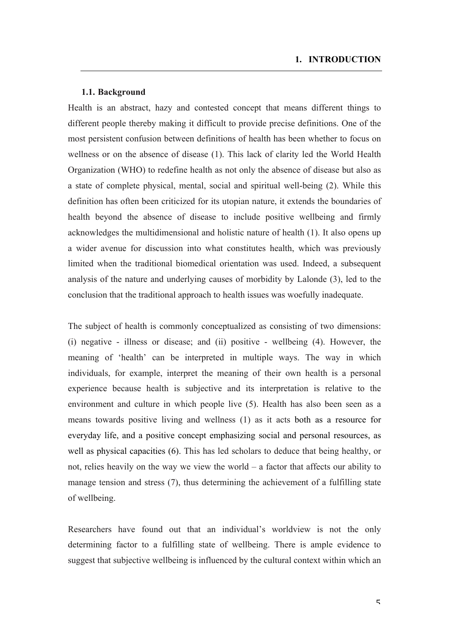## **1.1. Background**

Health is an abstract, hazy and contested concept that means different things to different people thereby making it difficult to provide precise definitions. One of the most persistent confusion between definitions of health has been whether to focus on wellness or on the absence of disease (1). This lack of clarity led the World Health Organization (WHO) to redefine health as not only the absence of disease but also as a state of complete physical, mental, social and spiritual well-being (2). While this definition has often been criticized for its utopian nature, it extends the boundaries of health beyond the absence of disease to include positive wellbeing and firmly acknowledges the multidimensional and holistic nature of health (1). It also opens up a wider avenue for discussion into what constitutes health, which was previously limited when the traditional biomedical orientation was used. Indeed, a subsequent analysis of the nature and underlying causes of morbidity by Lalonde (3), led to the conclusion that the traditional approach to health issues was woefully inadequate.

The subject of health is commonly conceptualized as consisting of two dimensions: (i) negative - illness or disease; and (ii) positive - wellbeing (4). However, the meaning of 'health' can be interpreted in multiple ways. The way in which individuals, for example, interpret the meaning of their own health is a personal experience because health is subjective and its interpretation is relative to the environment and culture in which people live (5). Health has also been seen as a means towards positive living and wellness (1) as it acts both as a resource for everyday life, and a positive concept emphasizing social and personal resources, as well as physical capacities (6). This has led scholars to deduce that being healthy, or not, relies heavily on the way we view the world – a factor that affects our ability to manage tension and stress (7), thus determining the achievement of a fulfilling state of wellbeing.

Researchers have found out that an individual's worldview is not the only determining factor to a fulfilling state of wellbeing. There is ample evidence to suggest that subjective wellbeing is influenced by the cultural context within which an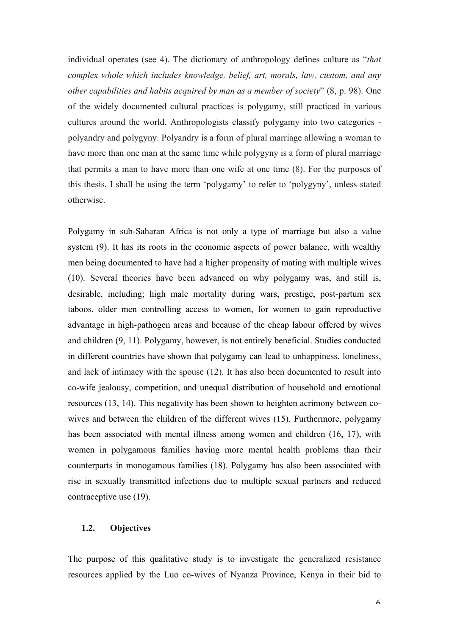individual operates (see 4). The dictionary of anthropology defines culture as "*that complex whole which includes knowledge, belief, art, morals, law, custom, and any other capabilities and habits acquired by man as a member of society*" (8, p. 98). One of the widely documented cultural practices is polygamy, still practiced in various cultures around the world. Anthropologists classify polygamy into two categories polyandry and polygyny. Polyandry is a form of plural marriage allowing a woman to have more than one man at the same time while polygyny is a form of plural marriage that permits a man to have more than one wife at one time (8). For the purposes of this thesis, I shall be using the term 'polygamy' to refer to 'polygyny', unless stated otherwise.

Polygamy in sub-Saharan Africa is not only a type of marriage but also a value system (9). It has its roots in the economic aspects of power balance, with wealthy men being documented to have had a higher propensity of mating with multiple wives (10). Several theories have been advanced on why polygamy was, and still is, desirable, including; high male mortality during wars, prestige, post-partum sex taboos, older men controlling access to women, for women to gain reproductive advantage in high-pathogen areas and because of the cheap labour offered by wives and children (9, 11). Polygamy, however, is not entirely beneficial. Studies conducted in different countries have shown that polygamy can lead to unhappiness, loneliness, and lack of intimacy with the spouse (12). It has also been documented to result into co-wife jealousy, competition, and unequal distribution of household and emotional resources (13, 14). This negativity has been shown to heighten acrimony between cowives and between the children of the different wives (15). Furthermore, polygamy has been associated with mental illness among women and children (16, 17), with women in polygamous families having more mental health problems than their counterparts in monogamous families (18). Polygamy has also been associated with rise in sexually transmitted infections due to multiple sexual partners and reduced contraceptive use (19).

## **1.2. Objectives**

The purpose of this qualitative study is to investigate the generalized resistance resources applied by the Luo co-wives of Nyanza Province, Kenya in their bid to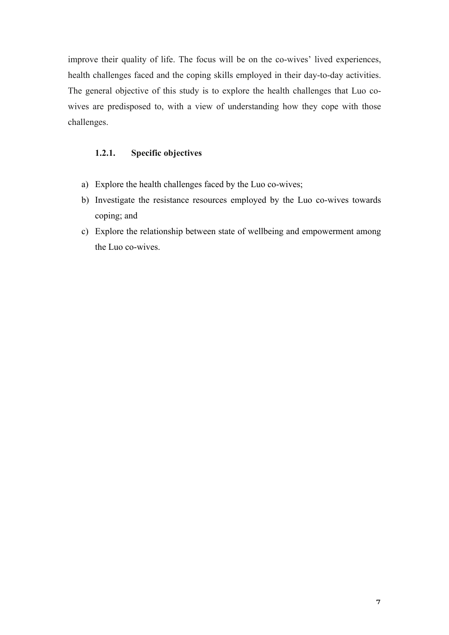improve their quality of life. The focus will be on the co-wives' lived experiences, health challenges faced and the coping skills employed in their day-to-day activities. The general objective of this study is to explore the health challenges that Luo cowives are predisposed to, with a view of understanding how they cope with those challenges.

# **1.2.1. Specific objectives**

- a) Explore the health challenges faced by the Luo co-wives;
- b) Investigate the resistance resources employed by the Luo co-wives towards coping; and
- c) Explore the relationship between state of wellbeing and empowerment among the Luo co-wives.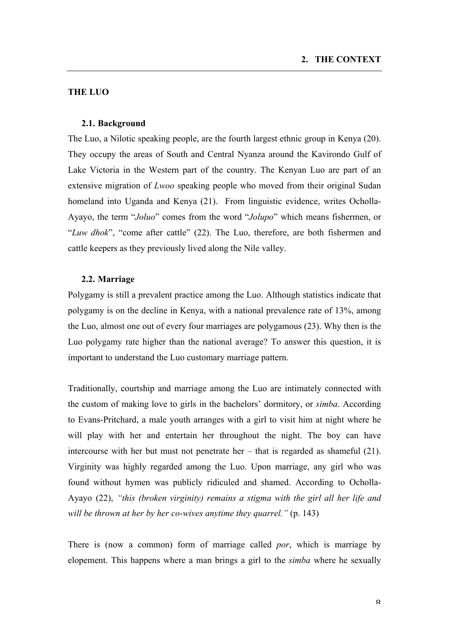# **THE LUO**

#### **2.1. Background**

The Luo, a Nilotic speaking people, are the fourth largest ethnic group in Kenya (20). They occupy the areas of South and Central Nyanza around the Kavirondo Gulf of Lake Victoria in the Western part of the country. The Kenyan Luo are part of an extensive migration of *Lwoo* speaking people who moved from their original Sudan homeland into Uganda and Kenya (21). From linguistic evidence, writes Ocholla-Ayayo, the term "*Joluo*" comes from the word "*Jolupo*" which means fishermen, or "*Luw dhok*", "come after cattle" (22). The Luo, therefore, are both fishermen and cattle keepers as they previously lived along the Nile valley.

## **2.2. Marriage**

Polygamy is still a prevalent practice among the Luo. Although statistics indicate that polygamy is on the decline in Kenya, with a national prevalence rate of 13%, among the Luo, almost one out of every four marriages are polygamous (23). Why then is the Luo polygamy rate higher than the national average? To answer this question, it is important to understand the Luo customary marriage pattern.

Traditionally, courtship and marriage among the Luo are intimately connected with the custom of making love to girls in the bachelors' dormitory, or *simba*. According to Evans-Pritchard, a male youth arranges with a girl to visit him at night where he will play with her and entertain her throughout the night. The boy can have intercourse with her but must not penetrate her – that is regarded as shameful (21). Virginity was highly regarded among the Luo. Upon marriage, any girl who was found without hymen was publicly ridiculed and shamed. According to Ocholla-Ayayo (22), *"this (broken virginity) remains a stigma with the girl all her life and will be thrown at her by her co-wives anytime they quarrel."* (p. 143)

There is (now a common) form of marriage called *por*, which is marriage by elopement. This happens where a man brings a girl to the *simba* where he sexually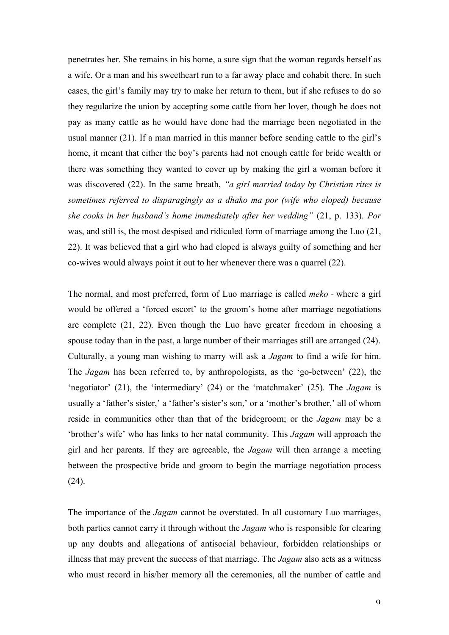penetrates her. She remains in his home, a sure sign that the woman regards herself as a wife. Or a man and his sweetheart run to a far away place and cohabit there. In such cases, the girl's family may try to make her return to them, but if she refuses to do so they regularize the union by accepting some cattle from her lover, though he does not pay as many cattle as he would have done had the marriage been negotiated in the usual manner (21). If a man married in this manner before sending cattle to the girl's home, it meant that either the boy's parents had not enough cattle for bride wealth or there was something they wanted to cover up by making the girl a woman before it was discovered (22). In the same breath, *"a girl married today by Christian rites is sometimes referred to disparagingly as a dhako ma por (wife who eloped) because she cooks in her husband's home immediately after her wedding"* (21, p. 133). *Por* was, and still is, the most despised and ridiculed form of marriage among the Luo (21, 22). It was believed that a girl who had eloped is always guilty of something and her co-wives would always point it out to her whenever there was a quarrel (22).

The normal, and most preferred, form of Luo marriage is called *meko -* where a girl would be offered a 'forced escort' to the groom's home after marriage negotiations are complete (21, 22). Even though the Luo have greater freedom in choosing a spouse today than in the past, a large number of their marriages still are arranged (24). Culturally, a young man wishing to marry will ask a *Jagam* to find a wife for him. The *Jagam* has been referred to, by anthropologists, as the 'go-between' (22), the 'negotiator' (21), the 'intermediary' (24) or the 'matchmaker' (25). The *Jagam* is usually a 'father's sister,' a 'father's sister's son,' or a 'mother's brother,' all of whom reside in communities other than that of the bridegroom; or the *Jagam* may be a 'brother's wife' who has links to her natal community. This *Jagam* will approach the girl and her parents. If they are agreeable, the *Jagam* will then arrange a meeting between the prospective bride and groom to begin the marriage negotiation process (24).

The importance of the *Jagam* cannot be overstated. In all customary Luo marriages, both parties cannot carry it through without the *Jagam* who is responsible for clearing up any doubts and allegations of antisocial behaviour, forbidden relationships or illness that may prevent the success of that marriage. The *Jagam* also acts as a witness who must record in his/her memory all the ceremonies, all the number of cattle and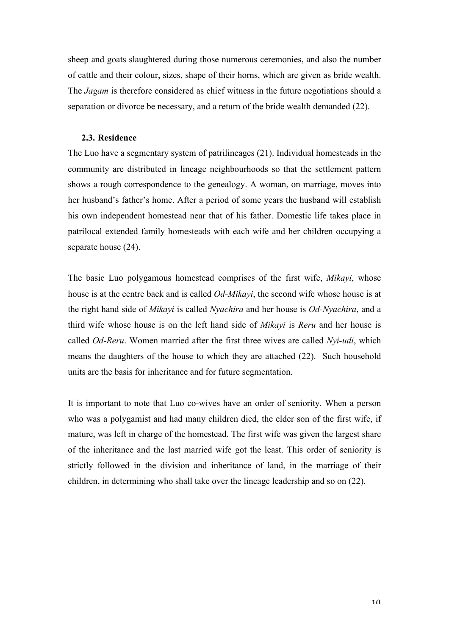sheep and goats slaughtered during those numerous ceremonies, and also the number of cattle and their colour, sizes, shape of their horns, which are given as bride wealth. The *Jagam* is therefore considered as chief witness in the future negotiations should a separation or divorce be necessary, and a return of the bride wealth demanded (22).

#### **2.3. Residence**

The Luo have a segmentary system of patrilineages (21). Individual homesteads in the community are distributed in lineage neighbourhoods so that the settlement pattern shows a rough correspondence to the genealogy. A woman, on marriage, moves into her husband's father's home. After a period of some years the husband will establish his own independent homestead near that of his father. Domestic life takes place in patrilocal extended family homesteads with each wife and her children occupying a separate house (24).

The basic Luo polygamous homestead comprises of the first wife, *Mikayi*, whose house is at the centre back and is called *Od-Mikayi*, the second wife whose house is at the right hand side of *Mikayi* is called *Nyachira* and her house is *Od-Nyachira*, and a third wife whose house is on the left hand side of *Mikayi* is *Reru* and her house is called *Od-Reru*. Women married after the first three wives are called *Nyi-udi*, which means the daughters of the house to which they are attached (22). Such household units are the basis for inheritance and for future segmentation.

It is important to note that Luo co-wives have an order of seniority. When a person who was a polygamist and had many children died, the elder son of the first wife, if mature, was left in charge of the homestead. The first wife was given the largest share of the inheritance and the last married wife got the least. This order of seniority is strictly followed in the division and inheritance of land, in the marriage of their children, in determining who shall take over the lineage leadership and so on (22).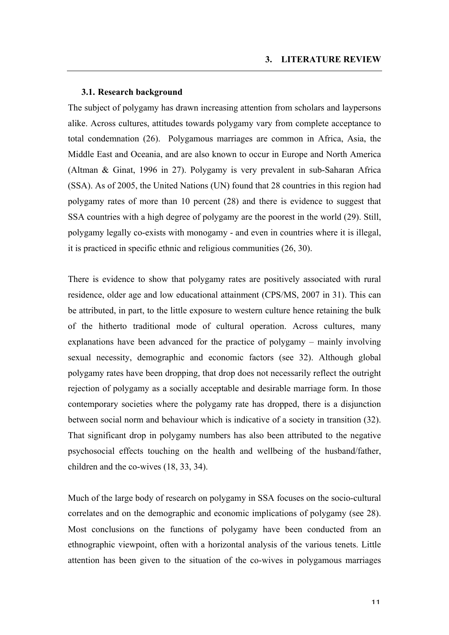## **3.1. Research background**

The subject of polygamy has drawn increasing attention from scholars and laypersons alike. Across cultures, attitudes towards polygamy vary from complete acceptance to total condemnation (26). Polygamous marriages are common in Africa, Asia, the Middle East and Oceania, and are also known to occur in Europe and North America (Altman & Ginat, 1996 in 27). Polygamy is very prevalent in sub-Saharan Africa (SSA). As of 2005, the United Nations (UN) found that 28 countries in this region had polygamy rates of more than 10 percent (28) and there is evidence to suggest that SSA countries with a high degree of polygamy are the poorest in the world (29). Still, polygamy legally co-exists with monogamy - and even in countries where it is illegal, it is practiced in specific ethnic and religious communities (26, 30).

There is evidence to show that polygamy rates are positively associated with rural residence, older age and low educational attainment (CPS/MS, 2007 in 31). This can be attributed, in part, to the little exposure to western culture hence retaining the bulk of the hitherto traditional mode of cultural operation. Across cultures, many explanations have been advanced for the practice of polygamy – mainly involving sexual necessity, demographic and economic factors (see 32). Although global polygamy rates have been dropping, that drop does not necessarily reflect the outright rejection of polygamy as a socially acceptable and desirable marriage form. In those contemporary societies where the polygamy rate has dropped, there is a disjunction between social norm and behaviour which is indicative of a society in transition (32). That significant drop in polygamy numbers has also been attributed to the negative psychosocial effects touching on the health and wellbeing of the husband/father, children and the co-wives (18, 33, 34).

Much of the large body of research on polygamy in SSA focuses on the socio-cultural correlates and on the demographic and economic implications of polygamy (see 28). Most conclusions on the functions of polygamy have been conducted from an ethnographic viewpoint, often with a horizontal analysis of the various tenets. Little attention has been given to the situation of the co-wives in polygamous marriages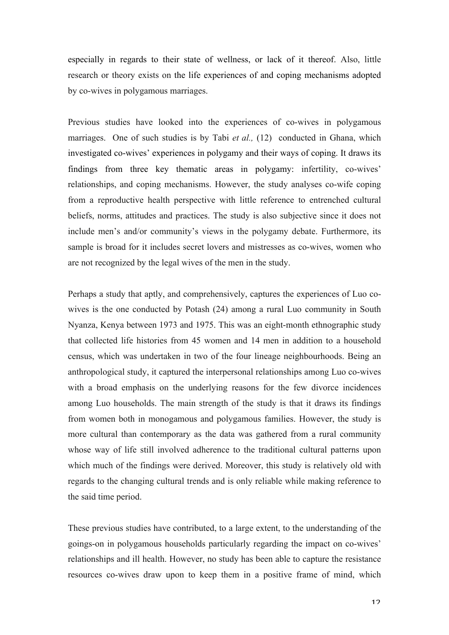especially in regards to their state of wellness, or lack of it thereof. Also, little research or theory exists on the life experiences of and coping mechanisms adopted by co-wives in polygamous marriages.

Previous studies have looked into the experiences of co-wives in polygamous marriages. One of such studies is by Tabi *et al.*, (12) conducted in Ghana, which investigated co-wives' experiences in polygamy and their ways of coping. It draws its findings from three key thematic areas in polygamy: infertility, co-wives' relationships, and coping mechanisms. However, the study analyses co-wife coping from a reproductive health perspective with little reference to entrenched cultural beliefs, norms, attitudes and practices. The study is also subjective since it does not include men's and/or community's views in the polygamy debate. Furthermore, its sample is broad for it includes secret lovers and mistresses as co-wives, women who are not recognized by the legal wives of the men in the study.

Perhaps a study that aptly, and comprehensively, captures the experiences of Luo cowives is the one conducted by Potash (24) among a rural Luo community in South Nyanza, Kenya between 1973 and 1975. This was an eight-month ethnographic study that collected life histories from 45 women and 14 men in addition to a household census, which was undertaken in two of the four lineage neighbourhoods. Being an anthropological study, it captured the interpersonal relationships among Luo co-wives with a broad emphasis on the underlying reasons for the few divorce incidences among Luo households. The main strength of the study is that it draws its findings from women both in monogamous and polygamous families. However, the study is more cultural than contemporary as the data was gathered from a rural community whose way of life still involved adherence to the traditional cultural patterns upon which much of the findings were derived. Moreover, this study is relatively old with regards to the changing cultural trends and is only reliable while making reference to the said time period.

These previous studies have contributed, to a large extent, to the understanding of the goings-on in polygamous households particularly regarding the impact on co-wives' relationships and ill health. However, no study has been able to capture the resistance resources co-wives draw upon to keep them in a positive frame of mind, which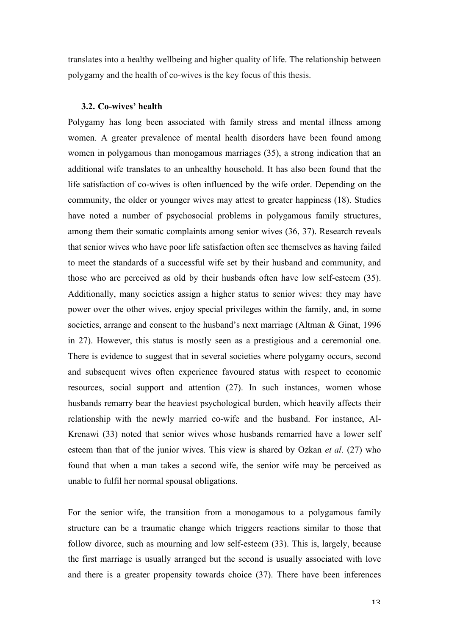translates into a healthy wellbeing and higher quality of life. The relationship between polygamy and the health of co-wives is the key focus of this thesis.

## **3.2. Co-wives' health**

Polygamy has long been associated with family stress and mental illness among women. A greater prevalence of mental health disorders have been found among women in polygamous than monogamous marriages (35), a strong indication that an additional wife translates to an unhealthy household. It has also been found that the life satisfaction of co-wives is often influenced by the wife order. Depending on the community, the older or younger wives may attest to greater happiness (18). Studies have noted a number of psychosocial problems in polygamous family structures, among them their somatic complaints among senior wives (36, 37). Research reveals that senior wives who have poor life satisfaction often see themselves as having failed to meet the standards of a successful wife set by their husband and community, and those who are perceived as old by their husbands often have low self-esteem (35). Additionally, many societies assign a higher status to senior wives: they may have power over the other wives, enjoy special privileges within the family, and, in some societies, arrange and consent to the husband's next marriage (Altman & Ginat, 1996 in 27). However, this status is mostly seen as a prestigious and a ceremonial one. There is evidence to suggest that in several societies where polygamy occurs, second and subsequent wives often experience favoured status with respect to economic resources, social support and attention (27). In such instances, women whose husbands remarry bear the heaviest psychological burden, which heavily affects their relationship with the newly married co-wife and the husband. For instance, Al-Krenawi (33) noted that senior wives whose husbands remarried have a lower self esteem than that of the junior wives. This view is shared by Ozkan *et al*. (27) who found that when a man takes a second wife, the senior wife may be perceived as unable to fulfil her normal spousal obligations.

For the senior wife, the transition from a monogamous to a polygamous family structure can be a traumatic change which triggers reactions similar to those that follow divorce, such as mourning and low self-esteem (33). This is, largely, because the first marriage is usually arranged but the second is usually associated with love and there is a greater propensity towards choice (37). There have been inferences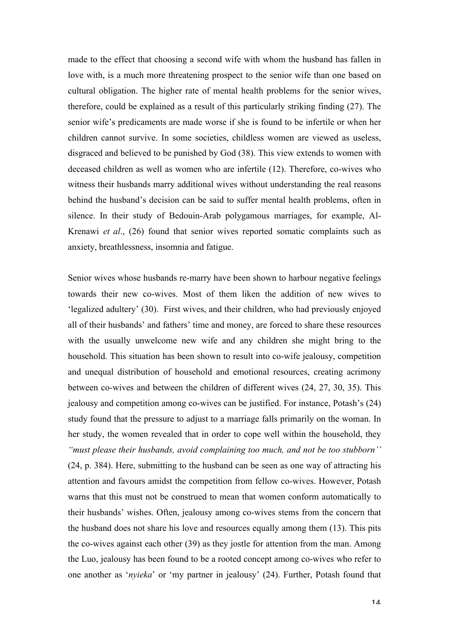made to the effect that choosing a second wife with whom the husband has fallen in love with, is a much more threatening prospect to the senior wife than one based on cultural obligation. The higher rate of mental health problems for the senior wives, therefore, could be explained as a result of this particularly striking finding (27). The senior wife's predicaments are made worse if she is found to be infertile or when her children cannot survive. In some societies, childless women are viewed as useless, disgraced and believed to be punished by God (38). This view extends to women with deceased children as well as women who are infertile (12). Therefore, co-wives who witness their husbands marry additional wives without understanding the real reasons behind the husband's decision can be said to suffer mental health problems, often in silence. In their study of Bedouin-Arab polygamous marriages, for example, Al-Krenawi *et al*., (26) found that senior wives reported somatic complaints such as anxiety, breathlessness, insomnia and fatigue.

Senior wives whose husbands re-marry have been shown to harbour negative feelings towards their new co-wives. Most of them liken the addition of new wives to 'legalized adultery' (30). First wives, and their children, who had previously enjoyed all of their husbands' and fathers' time and money, are forced to share these resources with the usually unwelcome new wife and any children she might bring to the household. This situation has been shown to result into co-wife jealousy, competition and unequal distribution of household and emotional resources, creating acrimony between co-wives and between the children of different wives (24, 27, 30, 35). This jealousy and competition among co-wives can be justified. For instance, Potash's (24) study found that the pressure to adjust to a marriage falls primarily on the woman. In her study, the women revealed that in order to cope well within the household, they *"must please their husbands, avoid complaining too much, and not be too stubborn''* (24, p. 384). Here, submitting to the husband can be seen as one way of attracting his attention and favours amidst the competition from fellow co-wives. However, Potash warns that this must not be construed to mean that women conform automatically to their husbands' wishes. Often, jealousy among co-wives stems from the concern that the husband does not share his love and resources equally among them (13). This pits the co-wives against each other (39) as they jostle for attention from the man. Among the Luo, jealousy has been found to be a rooted concept among co-wives who refer to one another as '*nyieka*' or 'my partner in jealousy' (24). Further, Potash found that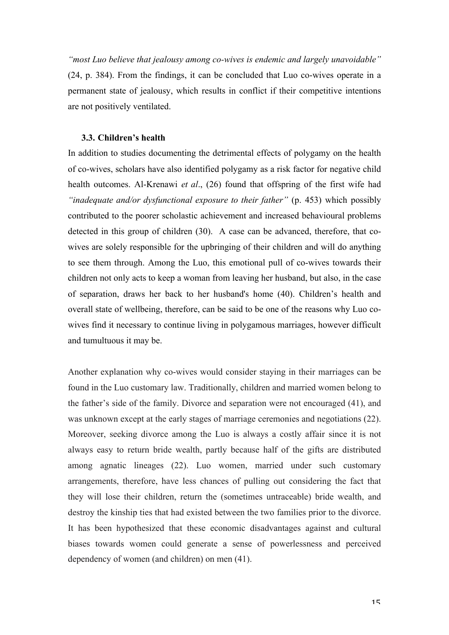*"most Luo believe that jealousy among co-wives is endemic and largely unavoidable"* (24, p. 384). From the findings, it can be concluded that Luo co-wives operate in a permanent state of jealousy, which results in conflict if their competitive intentions are not positively ventilated.

## **3.3. Children's health**

In addition to studies documenting the detrimental effects of polygamy on the health of co-wives, scholars have also identified polygamy as a risk factor for negative child health outcomes. Al-Krenawi *et al*., (26) found that offspring of the first wife had *"inadequate and/or dysfunctional exposure to their father"* (p. 453) which possibly contributed to the poorer scholastic achievement and increased behavioural problems detected in this group of children (30). A case can be advanced, therefore, that cowives are solely responsible for the upbringing of their children and will do anything to see them through. Among the Luo, this emotional pull of co-wives towards their children not only acts to keep a woman from leaving her husband, but also, in the case of separation, draws her back to her husband's home (40). Children's health and overall state of wellbeing, therefore, can be said to be one of the reasons why Luo cowives find it necessary to continue living in polygamous marriages, however difficult and tumultuous it may be.

Another explanation why co-wives would consider staying in their marriages can be found in the Luo customary law. Traditionally, children and married women belong to the father's side of the family. Divorce and separation were not encouraged (41), and was unknown except at the early stages of marriage ceremonies and negotiations (22). Moreover, seeking divorce among the Luo is always a costly affair since it is not always easy to return bride wealth, partly because half of the gifts are distributed among agnatic lineages (22). Luo women, married under such customary arrangements, therefore, have less chances of pulling out considering the fact that they will lose their children, return the (sometimes untraceable) bride wealth, and destroy the kinship ties that had existed between the two families prior to the divorce. It has been hypothesized that these economic disadvantages against and cultural biases towards women could generate a sense of powerlessness and perceived dependency of women (and children) on men (41).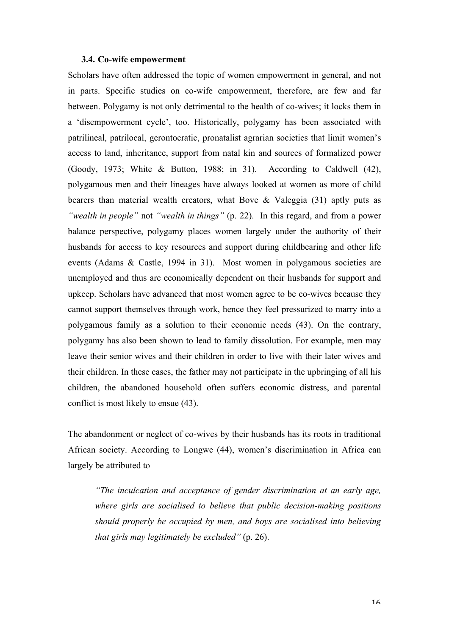## **3.4. Co-wife empowerment**

Scholars have often addressed the topic of women empowerment in general, and not in parts. Specific studies on co-wife empowerment, therefore, are few and far between. Polygamy is not only detrimental to the health of co-wives; it locks them in a 'disempowerment cycle', too. Historically, polygamy has been associated with patrilineal, patrilocal, gerontocratic, pronatalist agrarian societies that limit women's access to land, inheritance, support from natal kin and sources of formalized power (Goody, 1973; White & Button, 1988; in 31). According to Caldwell (42), polygamous men and their lineages have always looked at women as more of child bearers than material wealth creators, what Bove & Valeggia (31) aptly puts as *"wealth in people"* not *"wealth in things"* (p. 22). In this regard, and from a power balance perspective, polygamy places women largely under the authority of their husbands for access to key resources and support during childbearing and other life events (Adams & Castle, 1994 in 31). Most women in polygamous societies are unemployed and thus are economically dependent on their husbands for support and upkeep. Scholars have advanced that most women agree to be co-wives because they cannot support themselves through work, hence they feel pressurized to marry into a polygamous family as a solution to their economic needs (43). On the contrary, polygamy has also been shown to lead to family dissolution. For example, men may leave their senior wives and their children in order to live with their later wives and their children. In these cases, the father may not participate in the upbringing of all his children, the abandoned household often suffers economic distress, and parental conflict is most likely to ensue (43).

The abandonment or neglect of co-wives by their husbands has its roots in traditional African society. According to Longwe (44), women's discrimination in Africa can largely be attributed to

*"The inculcation and acceptance of gender discrimination at an early age, where girls are socialised to believe that public decision-making positions should properly be occupied by men, and boys are socialised into believing that girls may legitimately be excluded"* (p. 26).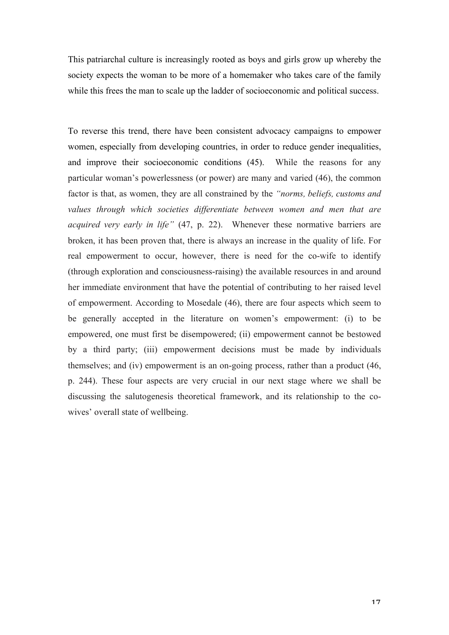This patriarchal culture is increasingly rooted as boys and girls grow up whereby the society expects the woman to be more of a homemaker who takes care of the family while this frees the man to scale up the ladder of socioeconomic and political success.

To reverse this trend, there have been consistent advocacy campaigns to empower women, especially from developing countries, in order to reduce gender inequalities, and improve their socioeconomic conditions (45). While the reasons for any particular woman's powerlessness (or power) are many and varied (46), the common factor is that, as women, they are all constrained by the *"norms, beliefs, customs and values through which societies differentiate between women and men that are acquired very early in life"* (47, p. 22). Whenever these normative barriers are broken, it has been proven that, there is always an increase in the quality of life. For real empowerment to occur, however, there is need for the co-wife to identify (through exploration and consciousness-raising) the available resources in and around her immediate environment that have the potential of contributing to her raised level of empowerment. According to Mosedale (46), there are four aspects which seem to be generally accepted in the literature on women's empowerment: (i) to be empowered, one must first be disempowered; (ii) empowerment cannot be bestowed by a third party; (iii) empowerment decisions must be made by individuals themselves; and (iv) empowerment is an on-going process, rather than a product (46, p. 244). These four aspects are very crucial in our next stage where we shall be discussing the salutogenesis theoretical framework, and its relationship to the cowives' overall state of wellbeing.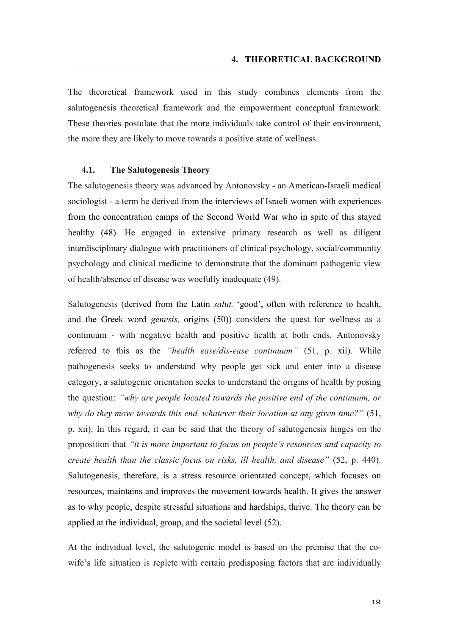The theoretical framework used in this study combines elements from the salutogenesis theoretical framework and the empowerment conceptual framework. These theories postulate that the more individuals take control of their environment, the more they are likely to move towards a positive state of wellness.

## **4.1. The Salutogenesis Theory**

The salutogenesis theory was advanced by Antonovsky - an American-Israeli medical sociologist - a term he derived from the interviews of Israeli women with experiences from the concentration camps of the Second World War who in spite of this stayed healthy (48). He engaged in extensive primary research as well as diligent interdisciplinary dialogue with practitioners of clinical psychology, social/community psychology and clinical medicine to demonstrate that the dominant pathogenic view of health/absence of disease was woefully inadequate (49).

Salutogenesis (derived from the Latin *salut,* 'good', often with reference to health, and the Greek word *genesis,* origins (50)) considers the quest for wellness as a continuum - with negative health and positive health at both ends. Antonovsky referred to this as the *"health ease/dis-ease continuum"* (51, p. xii). While pathogenesis seeks to understand why people get sick and enter into a disease category, a salutogenic orientation seeks to understand the origins of health by posing the question: *"why are people located towards the positive end of the continuum, or why do they move towards this end, whatever their location at any given time?"* (51, p. xii). In this regard, it can be said that the theory of salutogenesis hinges on the proposition that *"it is more important to focus on people's resources and capacity to create health than the classic focus on risks, ill health, and disease"* (52, p. 440). Salutogenesis, therefore, is a stress resource orientated concept, which focuses on resources, maintains and improves the movement towards health. It gives the answer as to why people, despite stressful situations and hardships, thrive. The theory can be applied at the individual, group, and the societal level (52).

At the individual level, the salutogenic model is based on the premise that the cowife's life situation is replete with certain predisposing factors that are individually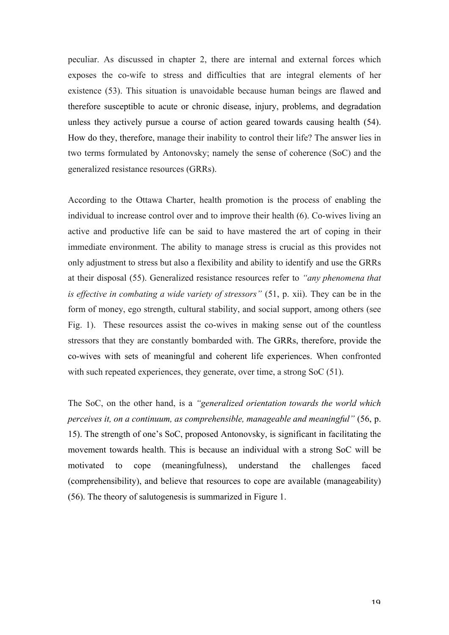peculiar. As discussed in chapter 2, there are internal and external forces which exposes the co-wife to stress and difficulties that are integral elements of her existence (53). This situation is unavoidable because human beings are flawed and therefore susceptible to acute or chronic disease, injury, problems, and degradation unless they actively pursue a course of action geared towards causing health (54). How do they, therefore, manage their inability to control their life? The answer lies in two terms formulated by Antonovsky; namely the sense of coherence (SoC) and the generalized resistance resources (GRRs).

According to the Ottawa Charter, health promotion is the process of enabling the individual to increase control over and to improve their health (6). Co-wives living an active and productive life can be said to have mastered the art of coping in their immediate environment. The ability to manage stress is crucial as this provides not only adjustment to stress but also a flexibility and ability to identify and use the GRRs at their disposal (55). Generalized resistance resources refer to *"any phenomena that is effective in combating a wide variety of stressors"* (51, p. xii). They can be in the form of money, ego strength, cultural stability, and social support, among others (see Fig. 1). These resources assist the co-wives in making sense out of the countless stressors that they are constantly bombarded with. The GRRs, therefore, provide the co-wives with sets of meaningful and coherent life experiences. When confronted with such repeated experiences, they generate, over time, a strong SoC (51).

The SoC, on the other hand, is a *"generalized orientation towards the world which perceives it, on a continuum, as comprehensible, manageable and meaningful"* (56, p. 15). The strength of one's SoC, proposed Antonovsky, is significant in facilitating the movement towards health. This is because an individual with a strong SoC will be motivated to cope (meaningfulness), understand the challenges faced (comprehensibility), and believe that resources to cope are available (manageability) (56). The theory of salutogenesis is summarized in Figure 1.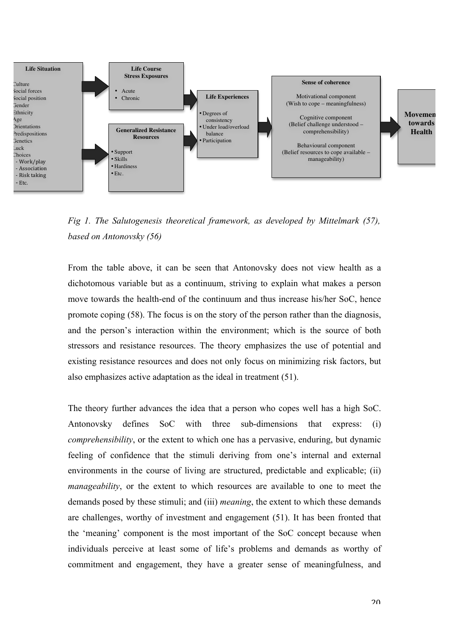

*Fig 1. The Salutogenesis theoretical framework, as developed by Mittelmark (57), based on Antonovsky (56)*

From the table above, it can be seen that Antonovsky does not view health as a dichotomous variable but as a continuum, striving to explain what makes a person move towards the health-end of the continuum and thus increase his/her SoC, hence promote coping (58). The focus is on the story of the person rather than the diagnosis, and the person's interaction within the environment; which is the source of both stressors and resistance resources. The theory emphasizes the use of potential and existing resistance resources and does not only focus on minimizing risk factors, but also emphasizes active adaptation as the ideal in treatment (51).

The theory further advances the idea that a person who copes well has a high SoC. Antonovsky defines SoC with three sub-dimensions that express: (i) *comprehensibility*, or the extent to which one has a pervasive, enduring, but dynamic feeling of confidence that the stimuli deriving from one's internal and external environments in the course of living are structured, predictable and explicable; (ii) *manageability*, or the extent to which resources are available to one to meet the demands posed by these stimuli; and (iii) *meaning*, the extent to which these demands are challenges, worthy of investment and engagement (51). It has been fronted that the 'meaning' component is the most important of the SoC concept because when individuals perceive at least some of life's problems and demands as worthy of commitment and engagement, they have a greater sense of meaningfulness, and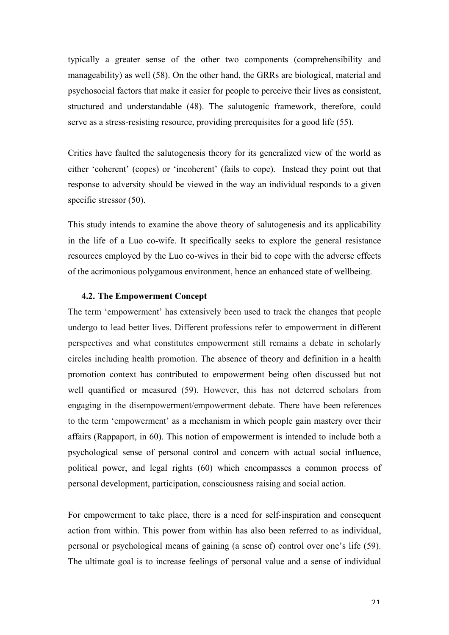typically a greater sense of the other two components (comprehensibility and manageability) as well (58). On the other hand, the GRRs are biological, material and psychosocial factors that make it easier for people to perceive their lives as consistent, structured and understandable (48). The salutogenic framework, therefore, could serve as a stress-resisting resource, providing prerequisites for a good life (55).

Critics have faulted the salutogenesis theory for its generalized view of the world as either 'coherent' (copes) or 'incoherent' (fails to cope). Instead they point out that response to adversity should be viewed in the way an individual responds to a given specific stressor  $(50)$ .

This study intends to examine the above theory of salutogenesis and its applicability in the life of a Luo co-wife. It specifically seeks to explore the general resistance resources employed by the Luo co-wives in their bid to cope with the adverse effects of the acrimonious polygamous environment, hence an enhanced state of wellbeing.

#### **4.2. The Empowerment Concept**

The term 'empowerment' has extensively been used to track the changes that people undergo to lead better lives. Different professions refer to empowerment in different perspectives and what constitutes empowerment still remains a debate in scholarly circles including health promotion. The absence of theory and definition in a health promotion context has contributed to empowerment being often discussed but not well quantified or measured (59). However, this has not deterred scholars from engaging in the disempowerment/empowerment debate. There have been references to the term 'empowerment' as a mechanism in which people gain mastery over their affairs (Rappaport, in 60). This notion of empowerment is intended to include both a psychological sense of personal control and concern with actual social influence, political power, and legal rights (60) which encompasses a common process of personal development, participation, consciousness raising and social action.

For empowerment to take place, there is a need for self-inspiration and consequent action from within. This power from within has also been referred to as individual, personal or psychological means of gaining (a sense of) control over one's life (59). The ultimate goal is to increase feelings of personal value and a sense of individual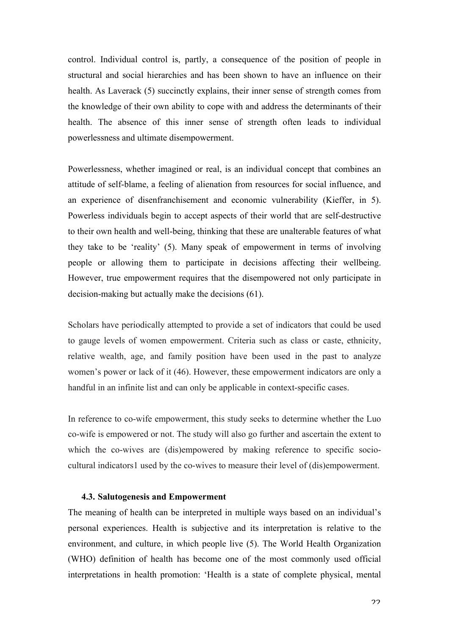control. Individual control is, partly, a consequence of the position of people in structural and social hierarchies and has been shown to have an influence on their health. As Laverack (5) succinctly explains, their inner sense of strength comes from the knowledge of their own ability to cope with and address the determinants of their health. The absence of this inner sense of strength often leads to individual powerlessness and ultimate disempowerment.

Powerlessness, whether imagined or real, is an individual concept that combines an attitude of self-blame, a feeling of alienation from resources for social influence, and an experience of disenfranchisement and economic vulnerability (Kieffer, in 5). Powerless individuals begin to accept aspects of their world that are self-destructive to their own health and well-being, thinking that these are unalterable features of what they take to be 'reality' (5). Many speak of empowerment in terms of involving people or allowing them to participate in decisions affecting their wellbeing. However, true empowerment requires that the disempowered not only participate in decision-making but actually make the decisions (61).

Scholars have periodically attempted to provide a set of indicators that could be used to gauge levels of women empowerment. Criteria such as class or caste, ethnicity, relative wealth, age, and family position have been used in the past to analyze women's power or lack of it (46). However, these empowerment indicators are only a handful in an infinite list and can only be applicable in context-specific cases.

In reference to co-wife empowerment, this study seeks to determine whether the Luo co-wife is empowered or not. The study will also go further and ascertain the extent to which the co-wives are (dis)empowered by making reference to specific sociocultural indicators1 used by the co-wives to measure their level of (dis)empowerment.

## **4.3. Salutogenesis and Empowerment**

The meaning of health can be interpreted in multiple ways based on an individual's personal experiences. Health is subjective and its interpretation is relative to the environment, and culture, in which people live (5). The World Health Organization (WHO) definition of health has become one of the most commonly used official interpretations in health promotion: 'Health is a state of complete physical, mental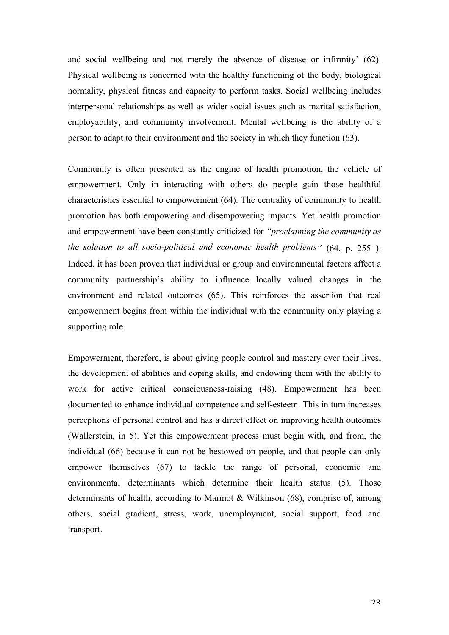and social wellbeing and not merely the absence of disease or infirmity' (62). Physical wellbeing is concerned with the healthy functioning of the body, biological normality, physical fitness and capacity to perform tasks. Social wellbeing includes interpersonal relationships as well as wider social issues such as marital satisfaction, employability, and community involvement. Mental wellbeing is the ability of a person to adapt to their environment and the society in which they function (63).

Community is often presented as the engine of health promotion, the vehicle of empowerment. Only in interacting with others do people gain those healthful characteristics essential to empowerment (64). The centrality of community to health promotion has both empowering and disempowering impacts. Yet health promotion and empowerment have been constantly criticized for *"proclaiming the community as the solution to all socio-political and economic health problems"* (64, p. 255 ). Indeed, it has been proven that individual or group and environmental factors affect a community partnership's ability to influence locally valued changes in the environment and related outcomes (65). This reinforces the assertion that real empowerment begins from within the individual with the community only playing a supporting role.

Empowerment, therefore, is about giving people control and mastery over their lives, the development of abilities and coping skills, and endowing them with the ability to work for active critical consciousness-raising (48). Empowerment has been documented to enhance individual competence and self-esteem. This in turn increases perceptions of personal control and has a direct effect on improving health outcomes (Wallerstein, in 5). Yet this empowerment process must begin with, and from, the individual (66) because it can not be bestowed on people, and that people can only empower themselves (67) to tackle the range of personal, economic and environmental determinants which determine their health status (5). Those determinants of health, according to Marmot & Wilkinson (68), comprise of, among others, social gradient, stress, work, unemployment, social support, food and transport.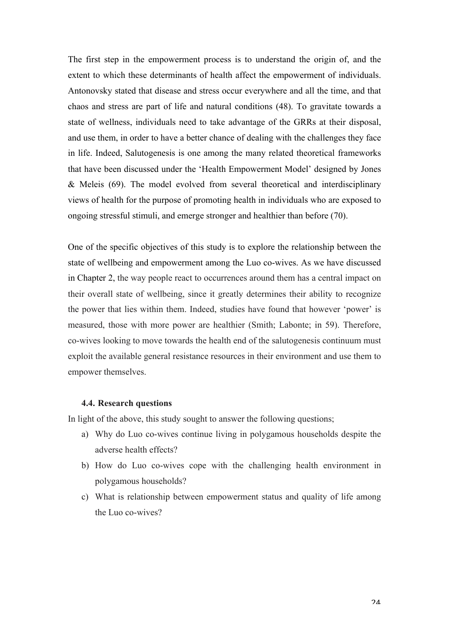The first step in the empowerment process is to understand the origin of, and the extent to which these determinants of health affect the empowerment of individuals. Antonovsky stated that disease and stress occur everywhere and all the time, and that chaos and stress are part of life and natural conditions (48). To gravitate towards a state of wellness, individuals need to take advantage of the GRRs at their disposal, and use them, in order to have a better chance of dealing with the challenges they face in life. Indeed, Salutogenesis is one among the many related theoretical frameworks that have been discussed under the 'Health Empowerment Model' designed by Jones & Meleis (69). The model evolved from several theoretical and interdisciplinary views of health for the purpose of promoting health in individuals who are exposed to ongoing stressful stimuli, and emerge stronger and healthier than before (70).

One of the specific objectives of this study is to explore the relationship between the state of wellbeing and empowerment among the Luo co-wives. As we have discussed in Chapter 2, the way people react to occurrences around them has a central impact on their overall state of wellbeing, since it greatly determines their ability to recognize the power that lies within them. Indeed, studies have found that however 'power' is measured, those with more power are healthier (Smith; Labonte; in 59). Therefore, co-wives looking to move towards the health end of the salutogenesis continuum must exploit the available general resistance resources in their environment and use them to empower themselves.

## **4.4. Research questions**

In light of the above, this study sought to answer the following questions;

- a) Why do Luo co-wives continue living in polygamous households despite the adverse health effects?
- b) How do Luo co-wives cope with the challenging health environment in polygamous households?
- c) What is relationship between empowerment status and quality of life among the Luo co-wives?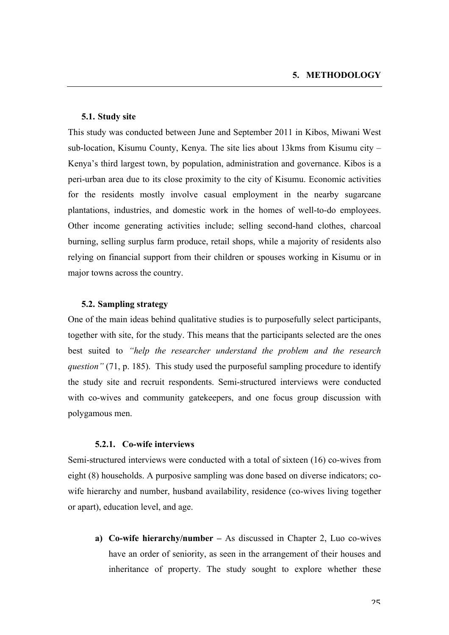## **5.1. Study site**

This study was conducted between June and September 2011 in Kibos, Miwani West sub-location, Kisumu County, Kenya. The site lies about 13kms from Kisumu city – Kenya's third largest town, by population, administration and governance. Kibos is a peri-urban area due to its close proximity to the city of Kisumu. Economic activities for the residents mostly involve casual employment in the nearby sugarcane plantations, industries, and domestic work in the homes of well-to-do employees. Other income generating activities include; selling second-hand clothes, charcoal burning, selling surplus farm produce, retail shops, while a majority of residents also relying on financial support from their children or spouses working in Kisumu or in major towns across the country.

## **5.2. Sampling strategy**

One of the main ideas behind qualitative studies is to purposefully select participants, together with site, for the study. This means that the participants selected are the ones best suited to *"help the researcher understand the problem and the research question"* (71, p. 185). This study used the purposeful sampling procedure to identify the study site and recruit respondents. Semi-structured interviews were conducted with co-wives and community gatekeepers, and one focus group discussion with polygamous men.

#### **5.2.1. Co-wife interviews**

Semi-structured interviews were conducted with a total of sixteen (16) co-wives from eight (8) households. A purposive sampling was done based on diverse indicators; cowife hierarchy and number, husband availability, residence (co-wives living together or apart), education level, and age.

**a) Co-wife hierarchy/number –** As discussed in Chapter 2, Luo co-wives have an order of seniority, as seen in the arrangement of their houses and inheritance of property. The study sought to explore whether these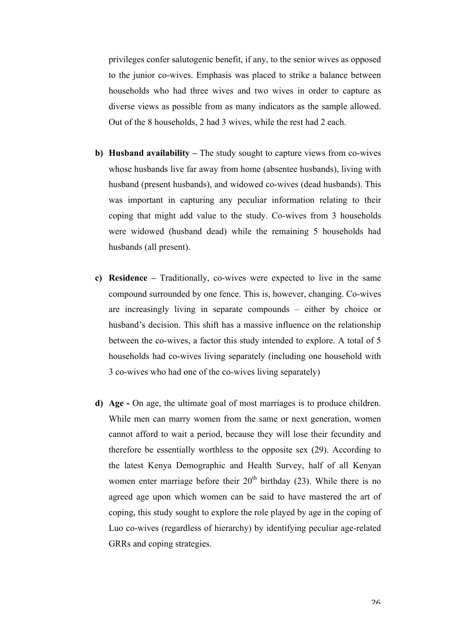privileges confer salutogenic benefit, if any, to the senior wives as opposed to the junior co-wives. Emphasis was placed to strike a balance between households who had three wives and two wives in order to capture as diverse views as possible from as many indicators as the sample allowed. Out of the 8 households, 2 had 3 wives, while the rest had 2 each.

- **b) Husband availability –** The study sought to capture views from co-wives whose husbands live far away from home (absentee husbands), living with husband (present husbands), and widowed co-wives (dead husbands). This was important in capturing any peculiar information relating to their coping that might add value to the study. Co-wives from 3 households were widowed (husband dead) while the remaining 5 households had husbands (all present).
- **c) Residence –** Traditionally, co-wives were expected to live in the same compound surrounded by one fence. This is, however, changing. Co-wives are increasingly living in separate compounds – either by choice or husband's decision. This shift has a massive influence on the relationship between the co-wives, a factor this study intended to explore. A total of 5 households had co-wives living separately (including one household with 3 co-wives who had one of the co-wives living separately)
- **d) Age -** On age, the ultimate goal of most marriages is to produce children. While men can marry women from the same or next generation, women cannot afford to wait a period, because they will lose their fecundity and therefore be essentially worthless to the opposite sex (29). According to the latest Kenya Demographic and Health Survey, half of all Kenyan women enter marriage before their  $20<sup>th</sup>$  birthday (23). While there is no agreed age upon which women can be said to have mastered the art of coping, this study sought to explore the role played by age in the coping of Luo co-wives (regardless of hierarchy) by identifying peculiar age-related GRRs and coping strategies.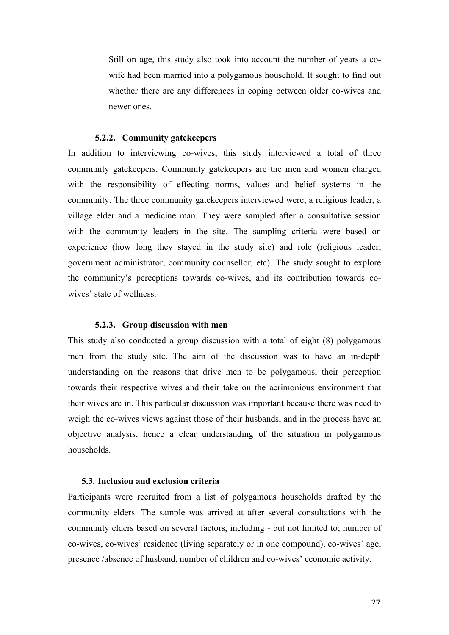Still on age, this study also took into account the number of years a cowife had been married into a polygamous household. It sought to find out whether there are any differences in coping between older co-wives and newer ones.

#### **5.2.2. Community gatekeepers**

In addition to interviewing co-wives, this study interviewed a total of three community gatekeepers. Community gatekeepers are the men and women charged with the responsibility of effecting norms, values and belief systems in the community. The three community gatekeepers interviewed were; a religious leader, a village elder and a medicine man. They were sampled after a consultative session with the community leaders in the site. The sampling criteria were based on experience (how long they stayed in the study site) and role (religious leader, government administrator, community counsellor, etc). The study sought to explore the community's perceptions towards co-wives, and its contribution towards cowives' state of wellness.

## **5.2.3. Group discussion with men**

This study also conducted a group discussion with a total of eight (8) polygamous men from the study site. The aim of the discussion was to have an in-depth understanding on the reasons that drive men to be polygamous, their perception towards their respective wives and their take on the acrimonious environment that their wives are in. This particular discussion was important because there was need to weigh the co-wives views against those of their husbands, and in the process have an objective analysis, hence a clear understanding of the situation in polygamous households.

## **5.3. Inclusion and exclusion criteria**

Participants were recruited from a list of polygamous households drafted by the community elders. The sample was arrived at after several consultations with the community elders based on several factors, including - but not limited to; number of co-wives, co-wives' residence (living separately or in one compound), co-wives' age, presence /absence of husband, number of children and co-wives' economic activity.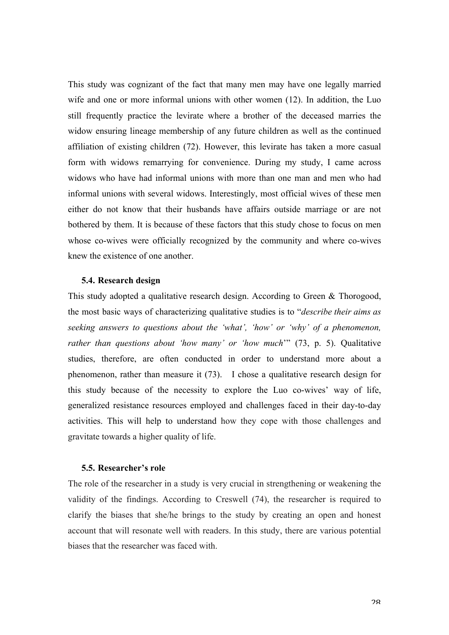This study was cognizant of the fact that many men may have one legally married wife and one or more informal unions with other women (12). In addition, the Luo still frequently practice the levirate where a brother of the deceased marries the widow ensuring lineage membership of any future children as well as the continued affiliation of existing children (72). However, this levirate has taken a more casual form with widows remarrying for convenience. During my study, I came across widows who have had informal unions with more than one man and men who had informal unions with several widows. Interestingly, most official wives of these men either do not know that their husbands have affairs outside marriage or are not bothered by them. It is because of these factors that this study chose to focus on men whose co-wives were officially recognized by the community and where co-wives knew the existence of one another.

## **5.4. Research design**

This study adopted a qualitative research design. According to Green & Thorogood, the most basic ways of characterizing qualitative studies is to "*describe their aims as seeking answers to questions about the 'what', 'how' or 'why' of a phenomenon, rather than questions about 'how many' or 'how much*'" (73, p. 5). Qualitative studies, therefore, are often conducted in order to understand more about a phenomenon, rather than measure it (73). I chose a qualitative research design for this study because of the necessity to explore the Luo co-wives' way of life, generalized resistance resources employed and challenges faced in their day-to-day activities. This will help to understand how they cope with those challenges and gravitate towards a higher quality of life.

#### **5.5. Researcher's role**

The role of the researcher in a study is very crucial in strengthening or weakening the validity of the findings. According to Creswell (74), the researcher is required to clarify the biases that she/he brings to the study by creating an open and honest account that will resonate well with readers. In this study, there are various potential biases that the researcher was faced with.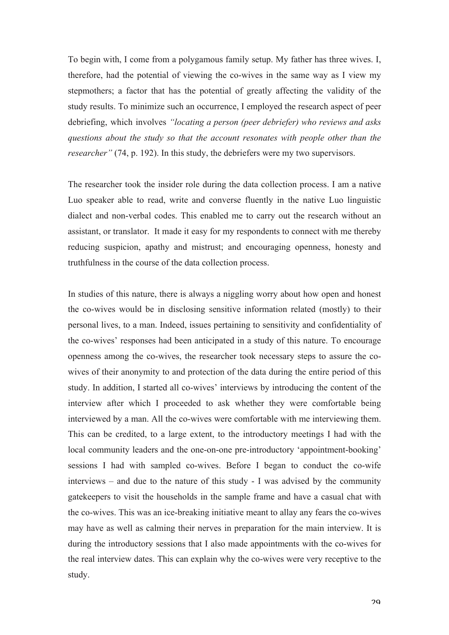To begin with, I come from a polygamous family setup. My father has three wives. I, therefore, had the potential of viewing the co-wives in the same way as I view my stepmothers; a factor that has the potential of greatly affecting the validity of the study results. To minimize such an occurrence, I employed the research aspect of peer debriefing, which involves *"locating a person (peer debriefer) who reviews and asks questions about the study so that the account resonates with people other than the researcher"* (74, p. 192). In this study, the debriefers were my two supervisors.

The researcher took the insider role during the data collection process. I am a native Luo speaker able to read, write and converse fluently in the native Luo linguistic dialect and non-verbal codes. This enabled me to carry out the research without an assistant, or translator. It made it easy for my respondents to connect with me thereby reducing suspicion, apathy and mistrust; and encouraging openness, honesty and truthfulness in the course of the data collection process.

In studies of this nature, there is always a niggling worry about how open and honest the co-wives would be in disclosing sensitive information related (mostly) to their personal lives, to a man. Indeed, issues pertaining to sensitivity and confidentiality of the co-wives' responses had been anticipated in a study of this nature. To encourage openness among the co-wives, the researcher took necessary steps to assure the cowives of their anonymity to and protection of the data during the entire period of this study. In addition, I started all co-wives' interviews by introducing the content of the interview after which I proceeded to ask whether they were comfortable being interviewed by a man. All the co-wives were comfortable with me interviewing them. This can be credited, to a large extent, to the introductory meetings I had with the local community leaders and the one-on-one pre-introductory 'appointment-booking' sessions I had with sampled co-wives. Before I began to conduct the co-wife interviews – and due to the nature of this study - I was advised by the community gatekeepers to visit the households in the sample frame and have a casual chat with the co-wives. This was an ice-breaking initiative meant to allay any fears the co-wives may have as well as calming their nerves in preparation for the main interview. It is during the introductory sessions that I also made appointments with the co-wives for the real interview dates. This can explain why the co-wives were very receptive to the study.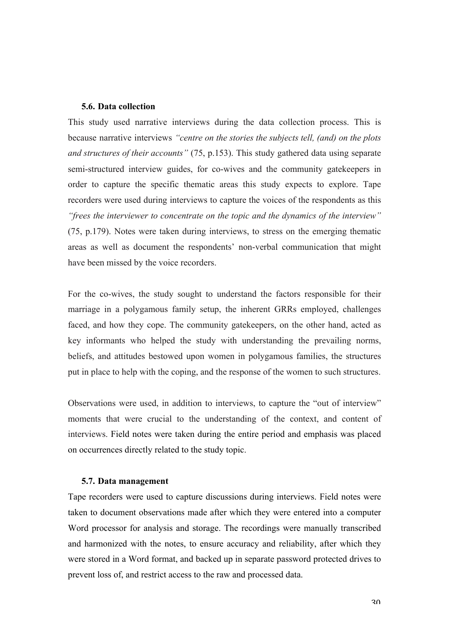## **5.6. Data collection**

This study used narrative interviews during the data collection process. This is because narrative interviews *"centre on the stories the subjects tell, (and) on the plots and structures of their accounts"* (75, p.153). This study gathered data using separate semi-structured interview guides, for co-wives and the community gatekeepers in order to capture the specific thematic areas this study expects to explore. Tape recorders were used during interviews to capture the voices of the respondents as this *"frees the interviewer to concentrate on the topic and the dynamics of the interview"* (75, p.179). Notes were taken during interviews, to stress on the emerging thematic areas as well as document the respondents' non-verbal communication that might have been missed by the voice recorders.

For the co-wives, the study sought to understand the factors responsible for their marriage in a polygamous family setup, the inherent GRRs employed, challenges faced, and how they cope. The community gatekeepers, on the other hand, acted as key informants who helped the study with understanding the prevailing norms, beliefs, and attitudes bestowed upon women in polygamous families, the structures put in place to help with the coping, and the response of the women to such structures.

Observations were used, in addition to interviews, to capture the "out of interview" moments that were crucial to the understanding of the context, and content of interviews. Field notes were taken during the entire period and emphasis was placed on occurrences directly related to the study topic.

#### **5.7. Data management**

Tape recorders were used to capture discussions during interviews. Field notes were taken to document observations made after which they were entered into a computer Word processor for analysis and storage. The recordings were manually transcribed and harmonized with the notes, to ensure accuracy and reliability, after which they were stored in a Word format, and backed up in separate password protected drives to prevent loss of, and restrict access to the raw and processed data.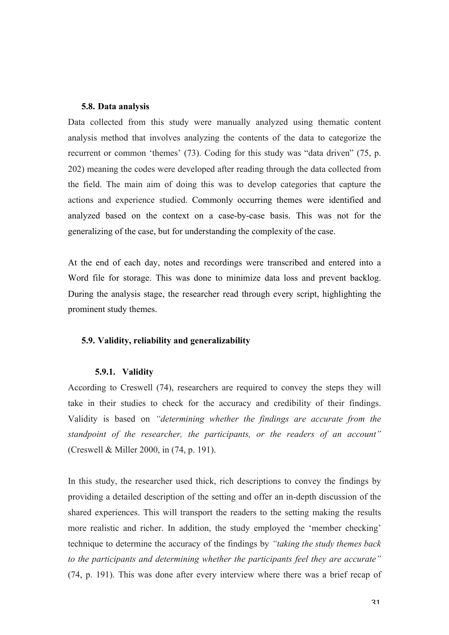## **5.8. Data analysis**

Data collected from this study were manually analyzed using thematic content analysis method that involves analyzing the contents of the data to categorize the recurrent or common 'themes' (73). Coding for this study was "data driven" (75, p. 202) meaning the codes were developed after reading through the data collected from the field. The main aim of doing this was to develop categories that capture the actions and experience studied. Commonly occurring themes were identified and analyzed based on the context on a case-by-case basis. This was not for the generalizing of the case, but for understanding the complexity of the case.

At the end of each day, notes and recordings were transcribed and entered into a Word file for storage. This was done to minimize data loss and prevent backlog. During the analysis stage, the researcher read through every script, highlighting the prominent study themes.

## **5.9. Validity, reliability and generalizability**

## **5.9.1. Validity**

According to Creswell (74), researchers are required to convey the steps they will take in their studies to check for the accuracy and credibility of their findings. Validity is based on *"determining whether the findings are accurate from the standpoint of the researcher, the participants, or the readers of an account"* (Creswell & Miller 2000, in (74, p. 191).

In this study, the researcher used thick, rich descriptions to convey the findings by providing a detailed description of the setting and offer an in-depth discussion of the shared experiences. This will transport the readers to the setting making the results more realistic and richer. In addition, the study employed the 'member checking' technique to determine the accuracy of the findings by *"taking the study themes back to the participants and determining whether the participants feel they are accurate"* (74, p. 191). This was done after every interview where there was a brief recap of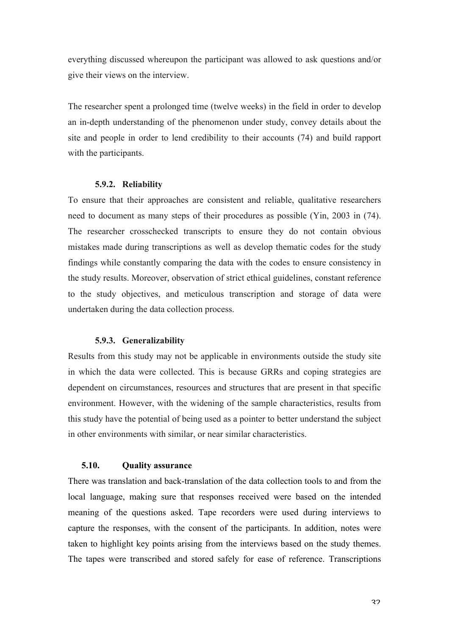everything discussed whereupon the participant was allowed to ask questions and/or give their views on the interview.

The researcher spent a prolonged time (twelve weeks) in the field in order to develop an in-depth understanding of the phenomenon under study, convey details about the site and people in order to lend credibility to their accounts (74) and build rapport with the participants.

## **5.9.2. Reliability**

To ensure that their approaches are consistent and reliable, qualitative researchers need to document as many steps of their procedures as possible (Yin, 2003 in (74). The researcher crosschecked transcripts to ensure they do not contain obvious mistakes made during transcriptions as well as develop thematic codes for the study findings while constantly comparing the data with the codes to ensure consistency in the study results. Moreover, observation of strict ethical guidelines, constant reference to the study objectives, and meticulous transcription and storage of data were undertaken during the data collection process.

#### **5.9.3. Generalizability**

Results from this study may not be applicable in environments outside the study site in which the data were collected. This is because GRRs and coping strategies are dependent on circumstances, resources and structures that are present in that specific environment. However, with the widening of the sample characteristics, results from this study have the potential of being used as a pointer to better understand the subject in other environments with similar, or near similar characteristics.

#### **5.10. Quality assurance**

There was translation and back-translation of the data collection tools to and from the local language, making sure that responses received were based on the intended meaning of the questions asked. Tape recorders were used during interviews to capture the responses, with the consent of the participants. In addition, notes were taken to highlight key points arising from the interviews based on the study themes. The tapes were transcribed and stored safely for ease of reference. Transcriptions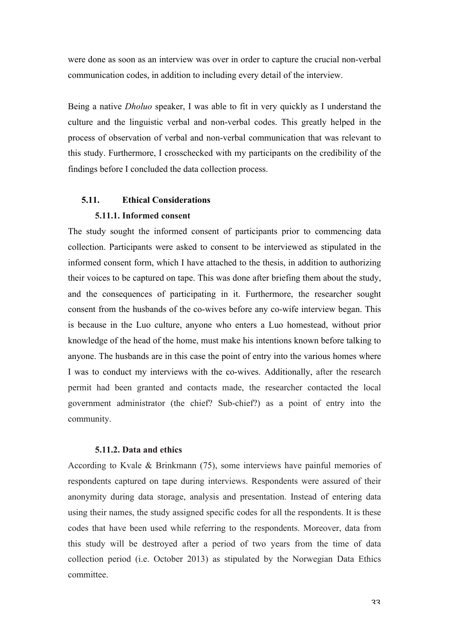were done as soon as an interview was over in order to capture the crucial non-verbal communication codes, in addition to including every detail of the interview.

Being a native *Dholuo* speaker, I was able to fit in very quickly as I understand the culture and the linguistic verbal and non-verbal codes. This greatly helped in the process of observation of verbal and non-verbal communication that was relevant to this study. Furthermore, I crosschecked with my participants on the credibility of the findings before I concluded the data collection process.

# **5.11. Ethical Considerations 5.11.1. Informed consent**

The study sought the informed consent of participants prior to commencing data collection. Participants were asked to consent to be interviewed as stipulated in the informed consent form, which I have attached to the thesis, in addition to authorizing their voices to be captured on tape. This was done after briefing them about the study, and the consequences of participating in it. Furthermore, the researcher sought consent from the husbands of the co-wives before any co-wife interview began. This is because in the Luo culture, anyone who enters a Luo homestead, without prior knowledge of the head of the home, must make his intentions known before talking to anyone. The husbands are in this case the point of entry into the various homes where I was to conduct my interviews with the co-wives. Additionally, after the research permit had been granted and contacts made, the researcher contacted the local government administrator (the chief? Sub-chief?) as a point of entry into the community.

# **5.11.2. Data and ethics**

According to Kvale & Brinkmann (75), some interviews have painful memories of respondents captured on tape during interviews. Respondents were assured of their anonymity during data storage, analysis and presentation. Instead of entering data using their names, the study assigned specific codes for all the respondents. It is these codes that have been used while referring to the respondents. Moreover, data from this study will be destroyed after a period of two years from the time of data collection period (i.e. October 2013) as stipulated by the Norwegian Data Ethics committee.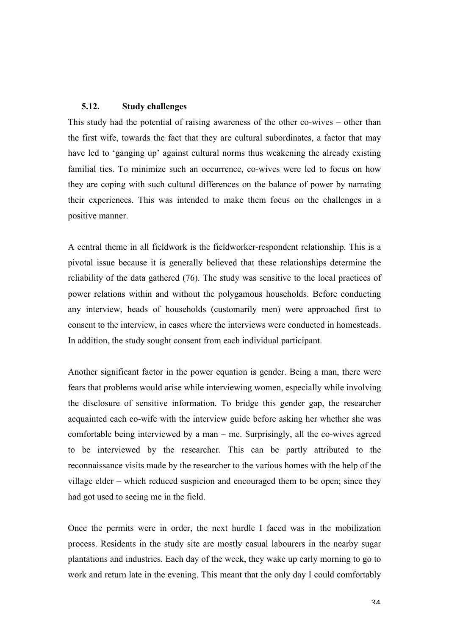# **5.12. Study challenges**

This study had the potential of raising awareness of the other co-wives – other than the first wife, towards the fact that they are cultural subordinates, a factor that may have led to 'ganging up' against cultural norms thus weakening the already existing familial ties. To minimize such an occurrence, co-wives were led to focus on how they are coping with such cultural differences on the balance of power by narrating their experiences. This was intended to make them focus on the challenges in a positive manner.

A central theme in all fieldwork is the fieldworker-respondent relationship. This is a pivotal issue because it is generally believed that these relationships determine the reliability of the data gathered (76). The study was sensitive to the local practices of power relations within and without the polygamous households. Before conducting any interview, heads of households (customarily men) were approached first to consent to the interview, in cases where the interviews were conducted in homesteads. In addition, the study sought consent from each individual participant.

Another significant factor in the power equation is gender. Being a man, there were fears that problems would arise while interviewing women, especially while involving the disclosure of sensitive information. To bridge this gender gap, the researcher acquainted each co-wife with the interview guide before asking her whether she was comfortable being interviewed by a man – me. Surprisingly, all the co-wives agreed to be interviewed by the researcher. This can be partly attributed to the reconnaissance visits made by the researcher to the various homes with the help of the village elder – which reduced suspicion and encouraged them to be open; since they had got used to seeing me in the field.

Once the permits were in order, the next hurdle I faced was in the mobilization process. Residents in the study site are mostly casual labourers in the nearby sugar plantations and industries. Each day of the week, they wake up early morning to go to work and return late in the evening. This meant that the only day I could comfortably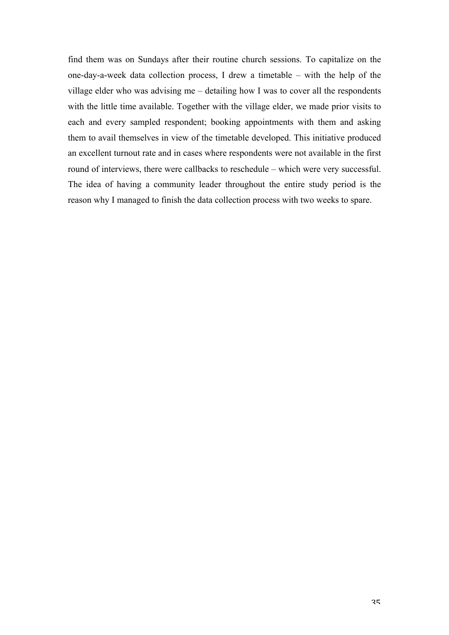find them was on Sundays after their routine church sessions. To capitalize on the one-day-a-week data collection process, I drew a timetable – with the help of the village elder who was advising me – detailing how I was to cover all the respondents with the little time available. Together with the village elder, we made prior visits to each and every sampled respondent; booking appointments with them and asking them to avail themselves in view of the timetable developed. This initiative produced an excellent turnout rate and in cases where respondents were not available in the first round of interviews, there were callbacks to reschedule – which were very successful. The idea of having a community leader throughout the entire study period is the reason why I managed to finish the data collection process with two weeks to spare.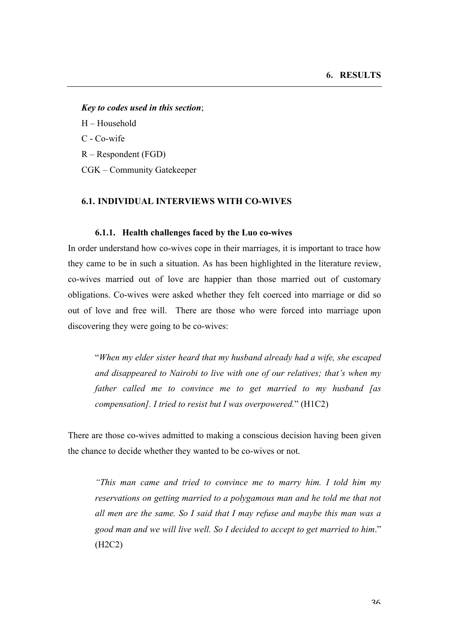#### *Key to codes used in this section*;

H – Household

C - Co-wife

R – Respondent (FGD)

CGK – Community Gatekeeper

## **6.1. INDIVIDUAL INTERVIEWS WITH CO-WIVES**

#### **6.1.1. Health challenges faced by the Luo co-wives**

In order understand how co-wives cope in their marriages, it is important to trace how they came to be in such a situation. As has been highlighted in the literature review, co-wives married out of love are happier than those married out of customary obligations. Co-wives were asked whether they felt coerced into marriage or did so out of love and free will. There are those who were forced into marriage upon discovering they were going to be co-wives:

"*When my elder sister heard that my husband already had a wife, she escaped and disappeared to Nairobi to live with one of our relatives; that's when my father called me to convince me to get married to my husband [as compensation]. I tried to resist but I was overpowered.*" (H1C2)

There are those co-wives admitted to making a conscious decision having been given the chance to decide whether they wanted to be co-wives or not.

*"This man came and tried to convince me to marry him. I told him my reservations on getting married to a polygamous man and he told me that not all men are the same. So I said that I may refuse and maybe this man was a good man and we will live well. So I decided to accept to get married to him*." (H2C2)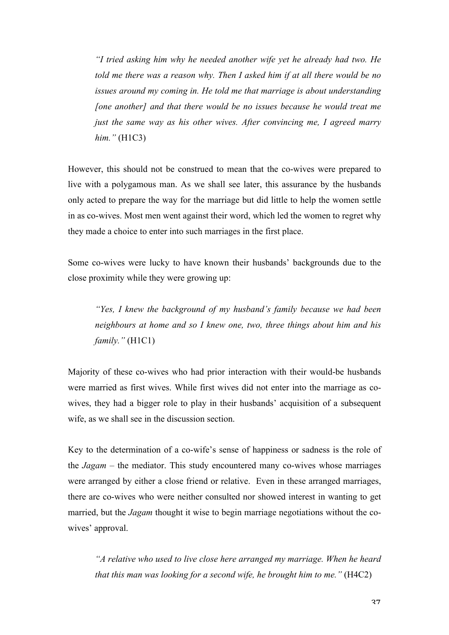*"I tried asking him why he needed another wife yet he already had two. He told me there was a reason why. Then I asked him if at all there would be no issues around my coming in. He told me that marriage is about understanding [one another] and that there would be no issues because he would treat me just the same way as his other wives. After convincing me, I agreed marry him."* (H1C3)

However, this should not be construed to mean that the co-wives were prepared to live with a polygamous man. As we shall see later, this assurance by the husbands only acted to prepare the way for the marriage but did little to help the women settle in as co-wives. Most men went against their word, which led the women to regret why they made a choice to enter into such marriages in the first place.

Some co-wives were lucky to have known their husbands' backgrounds due to the close proximity while they were growing up:

*"Yes, I knew the background of my husband's family because we had been neighbours at home and so I knew one, two, three things about him and his family."* (H1C1)

Majority of these co-wives who had prior interaction with their would-be husbands were married as first wives. While first wives did not enter into the marriage as cowives, they had a bigger role to play in their husbands' acquisition of a subsequent wife, as we shall see in the discussion section.

Key to the determination of a co-wife's sense of happiness or sadness is the role of the *Jagam* – the mediator. This study encountered many co-wives whose marriages were arranged by either a close friend or relative. Even in these arranged marriages, there are co-wives who were neither consulted nor showed interest in wanting to get married, but the *Jagam* thought it wise to begin marriage negotiations without the cowives' approval.

*"A relative who used to live close here arranged my marriage. When he heard that this man was looking for a second wife, he brought him to me."* (H4C2)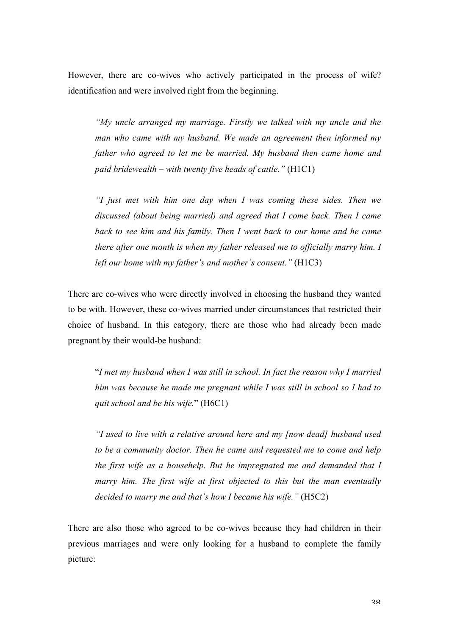However, there are co-wives who actively participated in the process of wife? identification and were involved right from the beginning.

*"My uncle arranged my marriage. Firstly we talked with my uncle and the man who came with my husband. We made an agreement then informed my father who agreed to let me be married. My husband then came home and paid bridewealth – with twenty five heads of cattle."* (H1C1)

*"I just met with him one day when I was coming these sides. Then we discussed (about being married) and agreed that I come back. Then I came back to see him and his family. Then I went back to our home and he came there after one month is when my father released me to officially marry him. I left our home with my father's and mother's consent."* (H1C3)

There are co-wives who were directly involved in choosing the husband they wanted to be with. However, these co-wives married under circumstances that restricted their choice of husband. In this category, there are those who had already been made pregnant by their would-be husband:

"*I met my husband when I was still in school. In fact the reason why I married him was because he made me pregnant while I was still in school so I had to quit school and be his wife.*" (H6C1)

*"I used to live with a relative around here and my [now dead] husband used to be a community doctor. Then he came and requested me to come and help the first wife as a househelp. But he impregnated me and demanded that I marry him. The first wife at first objected to this but the man eventually decided to marry me and that's how I became his wife."* (H5C2)

There are also those who agreed to be co-wives because they had children in their previous marriages and were only looking for a husband to complete the family picture: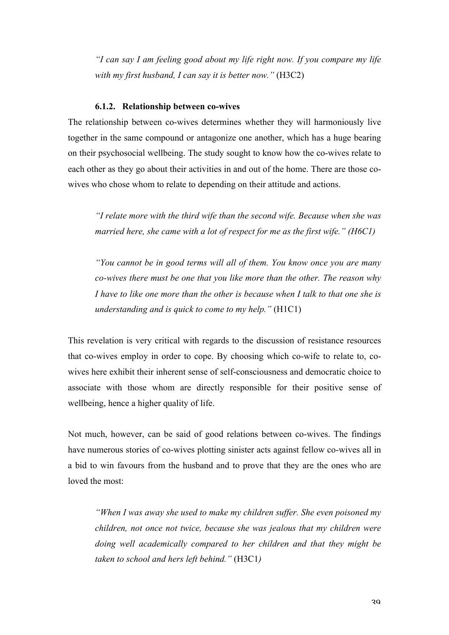*"I can say I am feeling good about my life right now. If you compare my life with my first husband, I can say it is better now."* (H3C2)

### **6.1.2. Relationship between co-wives**

The relationship between co-wives determines whether they will harmoniously live together in the same compound or antagonize one another, which has a huge bearing on their psychosocial wellbeing. The study sought to know how the co-wives relate to each other as they go about their activities in and out of the home. There are those cowives who chose whom to relate to depending on their attitude and actions.

*"I relate more with the third wife than the second wife. Because when she was married here, she came with a lot of respect for me as the first wife." (H6C1)*

*"You cannot be in good terms will all of them. You know once you are many co-wives there must be one that you like more than the other. The reason why I have to like one more than the other is because when I talk to that one she is understanding and is quick to come to my help."* (H1C1)

This revelation is very critical with regards to the discussion of resistance resources that co-wives employ in order to cope. By choosing which co-wife to relate to, cowives here exhibit their inherent sense of self-consciousness and democratic choice to associate with those whom are directly responsible for their positive sense of wellbeing, hence a higher quality of life.

Not much, however, can be said of good relations between co-wives. The findings have numerous stories of co-wives plotting sinister acts against fellow co-wives all in a bid to win favours from the husband and to prove that they are the ones who are loved the most:

*"When I was away she used to make my children suffer. She even poisoned my children, not once not twice, because she was jealous that my children were doing well academically compared to her children and that they might be taken to school and hers left behind."* (H3C1*)*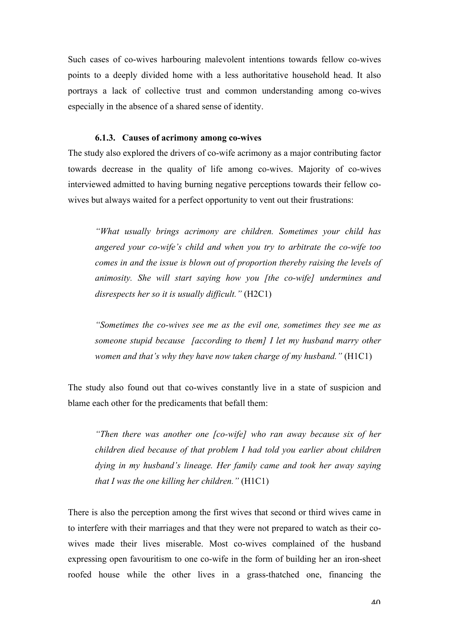Such cases of co-wives harbouring malevolent intentions towards fellow co-wives points to a deeply divided home with a less authoritative household head. It also portrays a lack of collective trust and common understanding among co-wives especially in the absence of a shared sense of identity.

### **6.1.3. Causes of acrimony among co-wives**

The study also explored the drivers of co-wife acrimony as a major contributing factor towards decrease in the quality of life among co-wives. Majority of co-wives interviewed admitted to having burning negative perceptions towards their fellow cowives but always waited for a perfect opportunity to vent out their frustrations:

*"What usually brings acrimony are children. Sometimes your child has angered your co-wife's child and when you try to arbitrate the co-wife too comes in and the issue is blown out of proportion thereby raising the levels of animosity. She will start saying how you [the co-wife] undermines and disrespects her so it is usually difficult."* (H2C1)

*"Sometimes the co-wives see me as the evil one, sometimes they see me as someone stupid because [according to them] I let my husband marry other women and that's why they have now taken charge of my husband."* (H1C1)

The study also found out that co-wives constantly live in a state of suspicion and blame each other for the predicaments that befall them:

*"Then there was another one [co-wife] who ran away because six of her children died because of that problem I had told you earlier about children dying in my husband's lineage. Her family came and took her away saying that I was the one killing her children."* (H1C1)

There is also the perception among the first wives that second or third wives came in to interfere with their marriages and that they were not prepared to watch as their cowives made their lives miserable. Most co-wives complained of the husband expressing open favouritism to one co-wife in the form of building her an iron-sheet roofed house while the other lives in a grass-thatched one, financing the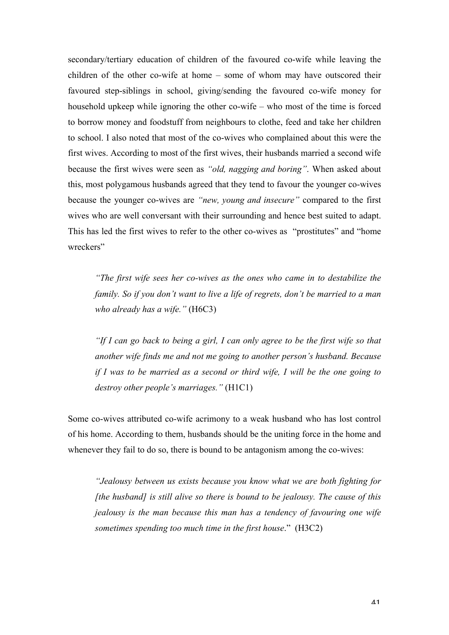secondary/tertiary education of children of the favoured co-wife while leaving the children of the other co-wife at home – some of whom may have outscored their favoured step-siblings in school, giving/sending the favoured co-wife money for household upkeep while ignoring the other co-wife – who most of the time is forced to borrow money and foodstuff from neighbours to clothe, feed and take her children to school. I also noted that most of the co-wives who complained about this were the first wives. According to most of the first wives, their husbands married a second wife because the first wives were seen as *"old, nagging and boring"*. When asked about this, most polygamous husbands agreed that they tend to favour the younger co-wives because the younger co-wives are *"new, young and insecure"* compared to the first wives who are well conversant with their surrounding and hence best suited to adapt. This has led the first wives to refer to the other co-wives as "prostitutes" and "home wreckers"

*"The first wife sees her co-wives as the ones who came in to destabilize the family. So if you don't want to live a life of regrets, don't be married to a man who already has a wife."* (H6C3)

*"If I can go back to being a girl, I can only agree to be the first wife so that another wife finds me and not me going to another person's husband. Because if I was to be married as a second or third wife, I will be the one going to destroy other people's marriages."* (H1C1)

Some co-wives attributed co-wife acrimony to a weak husband who has lost control of his home. According to them, husbands should be the uniting force in the home and whenever they fail to do so, there is bound to be antagonism among the co-wives:

*"Jealousy between us exists because you know what we are both fighting for [the husband] is still alive so there is bound to be jealousy. The cause of this jealousy is the man because this man has a tendency of favouring one wife sometimes spending too much time in the first house*." (H3C2)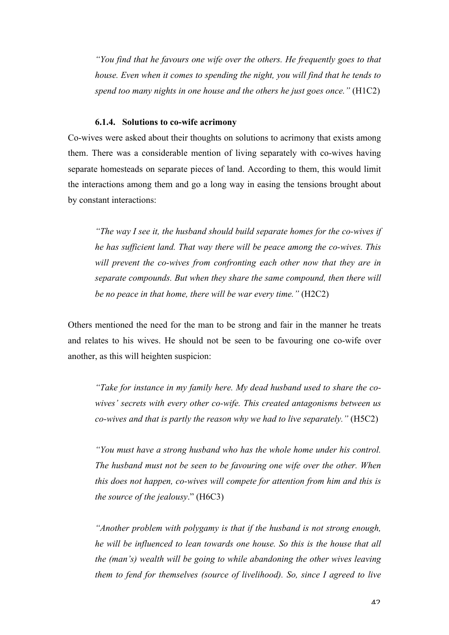*"You find that he favours one wife over the others. He frequently goes to that house. Even when it comes to spending the night, you will find that he tends to spend too many nights in one house and the others he just goes once."* (H1C2)

# **6.1.4. Solutions to co-wife acrimony**

Co-wives were asked about their thoughts on solutions to acrimony that exists among them. There was a considerable mention of living separately with co-wives having separate homesteads on separate pieces of land. According to them, this would limit the interactions among them and go a long way in easing the tensions brought about by constant interactions:

*"The way I see it, the husband should build separate homes for the co-wives if he has sufficient land. That way there will be peace among the co-wives. This will prevent the co-wives from confronting each other now that they are in separate compounds. But when they share the same compound, then there will be no peace in that home, there will be war every time."* (H2C2)

Others mentioned the need for the man to be strong and fair in the manner he treats and relates to his wives. He should not be seen to be favouring one co-wife over another, as this will heighten suspicion:

*"Take for instance in my family here. My dead husband used to share the cowives' secrets with every other co-wife. This created antagonisms between us co-wives and that is partly the reason why we had to live separately."* (H5C2)

*"You must have a strong husband who has the whole home under his control. The husband must not be seen to be favouring one wife over the other. When this does not happen, co-wives will compete for attention from him and this is the source of the jealousy*." (H6C3)

*"Another problem with polygamy is that if the husband is not strong enough, he will be influenced to lean towards one house. So this is the house that all the (man's) wealth will be going to while abandoning the other wives leaving them to fend for themselves (source of livelihood). So, since I agreed to live*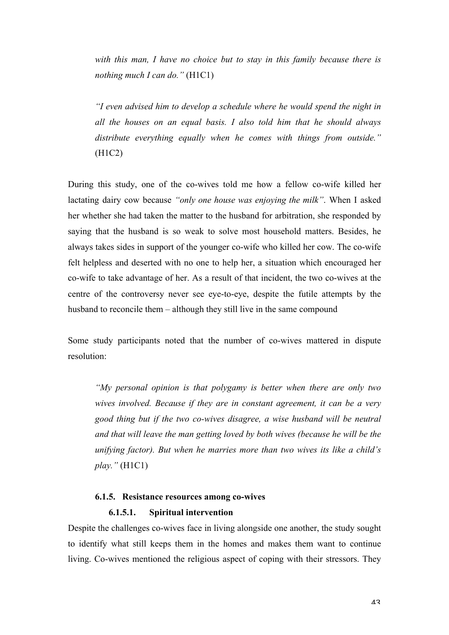*with this man, I have no choice but to stay in this family because there is nothing much I can do."* (H1C1)

*"I even advised him to develop a schedule where he would spend the night in all the houses on an equal basis. I also told him that he should always distribute everything equally when he comes with things from outside."* (H1C2)

During this study, one of the co-wives told me how a fellow co-wife killed her lactating dairy cow because *"only one house was enjoying the milk"*. When I asked her whether she had taken the matter to the husband for arbitration, she responded by saying that the husband is so weak to solve most household matters. Besides, he always takes sides in support of the younger co-wife who killed her cow. The co-wife felt helpless and deserted with no one to help her, a situation which encouraged her co-wife to take advantage of her. As a result of that incident, the two co-wives at the centre of the controversy never see eye-to-eye, despite the futile attempts by the husband to reconcile them – although they still live in the same compound

Some study participants noted that the number of co-wives mattered in dispute resolution:

*"My personal opinion is that polygamy is better when there are only two wives involved. Because if they are in constant agreement, it can be a very good thing but if the two co-wives disagree, a wise husband will be neutral and that will leave the man getting loved by both wives (because he will be the unifying factor). But when he marries more than two wives its like a child's play."* (H1C1)

# **6.1.5. Resistance resources among co-wives 6.1.5.1. Spiritual intervention**

Despite the challenges co-wives face in living alongside one another, the study sought to identify what still keeps them in the homes and makes them want to continue living. Co-wives mentioned the religious aspect of coping with their stressors. They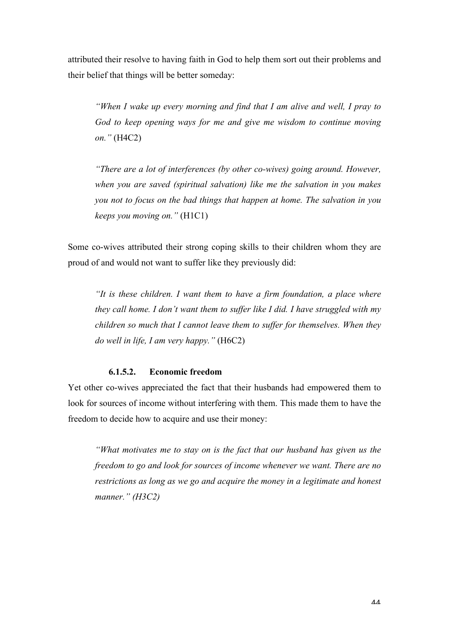attributed their resolve to having faith in God to help them sort out their problems and their belief that things will be better someday:

*"When I wake up every morning and find that I am alive and well, I pray to God to keep opening ways for me and give me wisdom to continue moving on."* (H4C2)

*"There are a lot of interferences (by other co-wives) going around. However, when you are saved (spiritual salvation) like me the salvation in you makes you not to focus on the bad things that happen at home. The salvation in you keeps you moving on."* (H1C1)

Some co-wives attributed their strong coping skills to their children whom they are proud of and would not want to suffer like they previously did:

*"It is these children. I want them to have a firm foundation, a place where they call home. I don't want them to suffer like I did. I have struggled with my children so much that I cannot leave them to suffer for themselves. When they do well in life, I am very happy."* (H6C2)

# **6.1.5.2. Economic freedom**

Yet other co-wives appreciated the fact that their husbands had empowered them to look for sources of income without interfering with them. This made them to have the freedom to decide how to acquire and use their money:

*"What motivates me to stay on is the fact that our husband has given us the freedom to go and look for sources of income whenever we want. There are no restrictions as long as we go and acquire the money in a legitimate and honest manner." (H3C2)*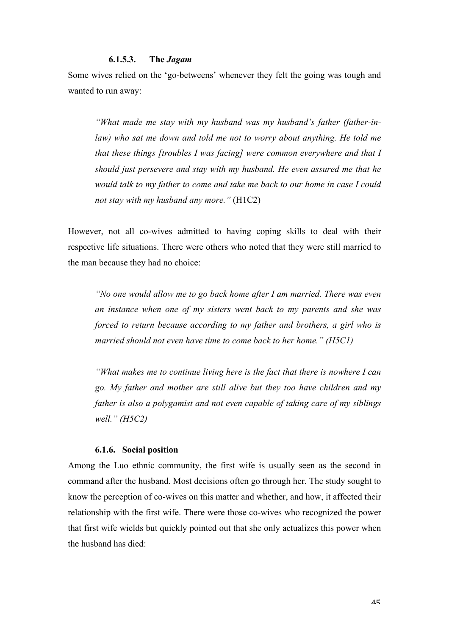#### **6.1.5.3. The** *Jagam*

Some wives relied on the 'go-betweens' whenever they felt the going was tough and wanted to run away:

*"What made me stay with my husband was my husband's father (father-inlaw) who sat me down and told me not to worry about anything. He told me that these things [troubles I was facing] were common everywhere and that I should just persevere and stay with my husband. He even assured me that he would talk to my father to come and take me back to our home in case I could not stay with my husband any more."* (H1C2)

However, not all co-wives admitted to having coping skills to deal with their respective life situations. There were others who noted that they were still married to the man because they had no choice:

*"No one would allow me to go back home after I am married. There was even an instance when one of my sisters went back to my parents and she was forced to return because according to my father and brothers, a girl who is married should not even have time to come back to her home." (H5C1)*

*"What makes me to continue living here is the fact that there is nowhere I can go. My father and mother are still alive but they too have children and my father is also a polygamist and not even capable of taking care of my siblings well." (H5C2)*

# **6.1.6. Social position**

Among the Luo ethnic community, the first wife is usually seen as the second in command after the husband. Most decisions often go through her. The study sought to know the perception of co-wives on this matter and whether, and how, it affected their relationship with the first wife. There were those co-wives who recognized the power that first wife wields but quickly pointed out that she only actualizes this power when the husband has died: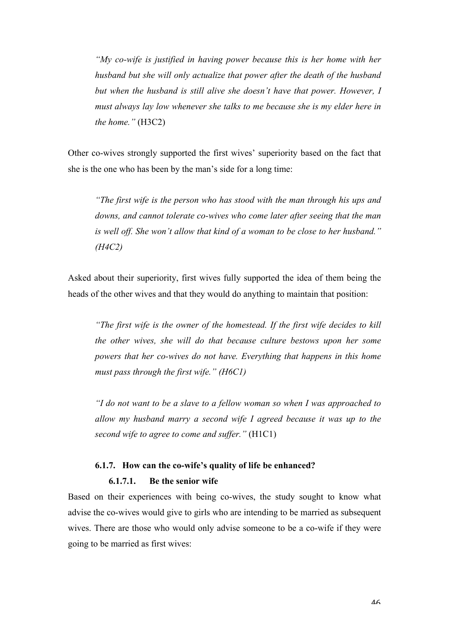*"My co-wife is justified in having power because this is her home with her husband but she will only actualize that power after the death of the husband but when the husband is still alive she doesn't have that power. However, I must always lay low whenever she talks to me because she is my elder here in the home."* (H3C2)

Other co-wives strongly supported the first wives' superiority based on the fact that she is the one who has been by the man's side for a long time:

*"The first wife is the person who has stood with the man through his ups and downs, and cannot tolerate co-wives who come later after seeing that the man is well off. She won't allow that kind of a woman to be close to her husband." (H4C2)*

Asked about their superiority, first wives fully supported the idea of them being the heads of the other wives and that they would do anything to maintain that position:

*"The first wife is the owner of the homestead. If the first wife decides to kill the other wives, she will do that because culture bestows upon her some powers that her co-wives do not have. Everything that happens in this home must pass through the first wife." (H6C1)*

*"I do not want to be a slave to a fellow woman so when I was approached to allow my husband marry a second wife I agreed because it was up to the second wife to agree to come and suffer."* (H1C1)

### **6.1.7. How can the co-wife's quality of life be enhanced?**

#### **6.1.7.1. Be the senior wife**

Based on their experiences with being co-wives, the study sought to know what advise the co-wives would give to girls who are intending to be married as subsequent wives. There are those who would only advise someone to be a co-wife if they were going to be married as first wives: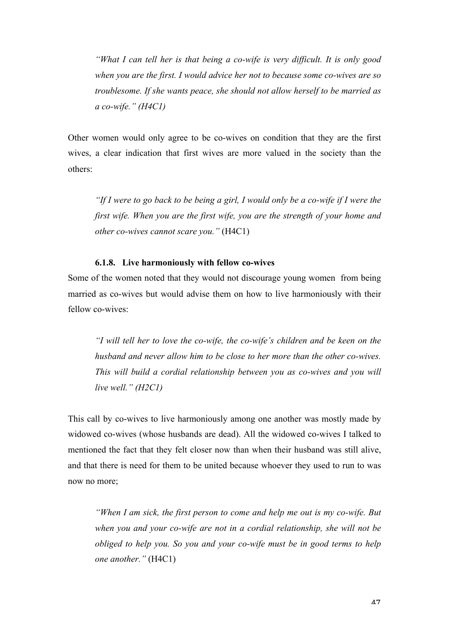*"What I can tell her is that being a co-wife is very difficult. It is only good when you are the first. I would advice her not to because some co-wives are so troublesome. If she wants peace, she should not allow herself to be married as a co-wife." (H4C1)*

Other women would only agree to be co-wives on condition that they are the first wives, a clear indication that first wives are more valued in the society than the others:

*"If I were to go back to be being a girl, I would only be a co-wife if I were the first wife. When you are the first wife, you are the strength of your home and other co-wives cannot scare you."* (H4C1)

# **6.1.8. Live harmoniously with fellow co-wives**

Some of the women noted that they would not discourage young women from being married as co-wives but would advise them on how to live harmoniously with their fellow co-wives:

*"I will tell her to love the co-wife, the co-wife's children and be keen on the husband and never allow him to be close to her more than the other co-wives. This will build a cordial relationship between you as co-wives and you will live well." (H2C1)*

This call by co-wives to live harmoniously among one another was mostly made by widowed co-wives (whose husbands are dead). All the widowed co-wives I talked to mentioned the fact that they felt closer now than when their husband was still alive, and that there is need for them to be united because whoever they used to run to was now no more;

*"When I am sick, the first person to come and help me out is my co-wife. But when you and your co-wife are not in a cordial relationship, she will not be obliged to help you. So you and your co-wife must be in good terms to help one another."* (H4C1)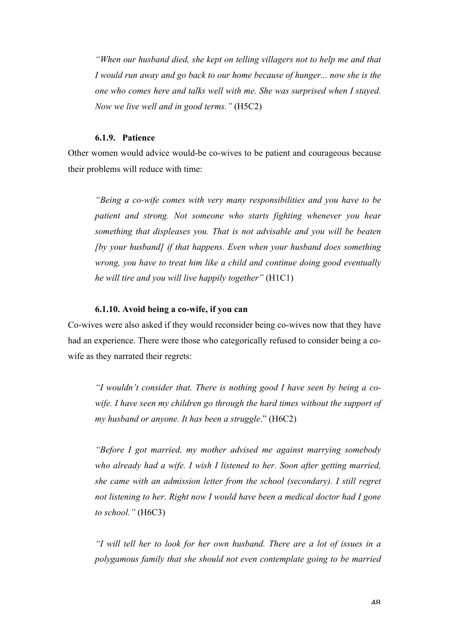*"When our husband died, she kept on telling villagers not to help me and that I* would run away and go back to our home because of hunger... now she is the *one who comes here and talks well with me. She was surprised when I stayed. Now we live well and in good terms."* (H5C2)

### **6.1.9. Patience**

Other women would advice would-be co-wives to be patient and courageous because their problems will reduce with time:

*"Being a co-wife comes with very many responsibilities and you have to be patient and strong. Not someone who starts fighting whenever you hear something that displeases you. That is not advisable and you will be beaten [by your husband] if that happens. Even when your husband does something wrong, you have to treat him like a child and continue doing good eventually he will tire and you will live happily together"* (H1C1)

### **6.1.10. Avoid being a co-wife, if you can**

Co-wives were also asked if they would reconsider being co-wives now that they have had an experience. There were those who categorically refused to consider being a cowife as they narrated their regrets:

*"I wouldn't consider that. There is nothing good I have seen by being a cowife. I have seen my children go through the hard times without the support of my husband or anyone. It has been a struggle*." (H6C2)

*"Before I got married, my mother advised me against marrying somebody who already had a wife. I wish I listened to her. Soon after getting married, she came with an admission letter from the school (secondary). I still regret not listening to her. Right now I would have been a medical doctor had I gone to school."* (H6C3)

*"I will tell her to look for her own husband. There are a lot of issues in a polygamous family that she should not even contemplate going to be married*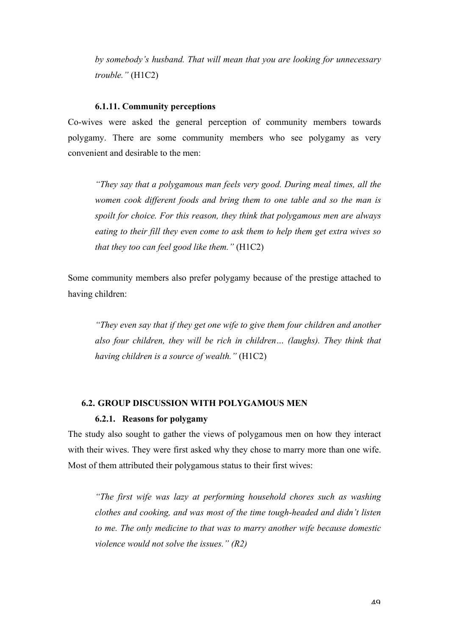*by somebody's husband. That will mean that you are looking for unnecessary trouble."* (H1C2)

### **6.1.11. Community perceptions**

Co-wives were asked the general perception of community members towards polygamy. There are some community members who see polygamy as very convenient and desirable to the men:

*"They say that a polygamous man feels very good. During meal times, all the women cook different foods and bring them to one table and so the man is spoilt for choice. For this reason, they think that polygamous men are always eating to their fill they even come to ask them to help them get extra wives so that they too can feel good like them."* (H1C2)

Some community members also prefer polygamy because of the prestige attached to having children:

*"They even say that if they get one wife to give them four children and another also four children, they will be rich in children… (laughs). They think that having children is a source of wealth."* (H1C2)

### **6.2. GROUP DISCUSSION WITH POLYGAMOUS MEN**

### **6.2.1. Reasons for polygamy**

The study also sought to gather the views of polygamous men on how they interact with their wives. They were first asked why they chose to marry more than one wife. Most of them attributed their polygamous status to their first wives:

*"The first wife was lazy at performing household chores such as washing clothes and cooking, and was most of the time tough-headed and didn't listen to me. The only medicine to that was to marry another wife because domestic violence would not solve the issues." (R2)*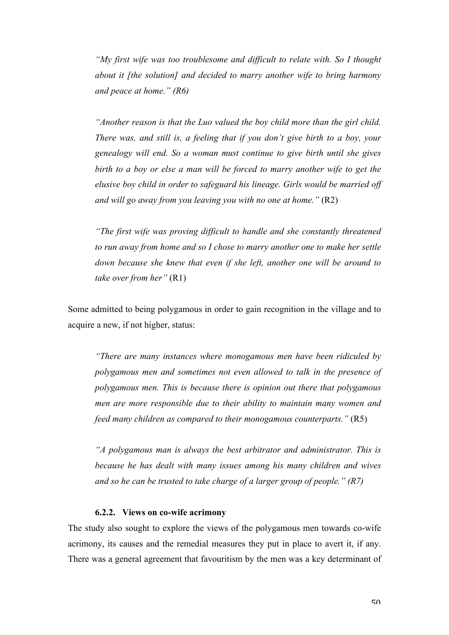*"My first wife was too troublesome and difficult to relate with. So I thought about it [the solution] and decided to marry another wife to bring harmony and peace at home." (R6)*

*"Another reason is that the Luo valued the boy child more than the girl child. There was, and still is, a feeling that if you don't give birth to a boy, your genealogy will end. So a woman must continue to give birth until she gives birth to a boy or else a man will be forced to marry another wife to get the elusive boy child in order to safeguard his lineage. Girls would be married off and will go away from you leaving you with no one at home."* (R2)

*"The first wife was proving difficult to handle and she constantly threatened to run away from home and so I chose to marry another one to make her settle down because she knew that even if she left, another one will be around to take over from her"* (R1)

Some admitted to being polygamous in order to gain recognition in the village and to acquire a new, if not higher, status:

*"There are many instances where monogamous men have been ridiculed by polygamous men and sometimes not even allowed to talk in the presence of polygamous men. This is because there is opinion out there that polygamous men are more responsible due to their ability to maintain many women and feed many children as compared to their monogamous counterparts."* (R5)

*"A polygamous man is always the best arbitrator and administrator. This is because he has dealt with many issues among his many children and wives and so he can be trusted to take charge of a larger group of people." (R7)* 

### **6.2.2. Views on co-wife acrimony**

The study also sought to explore the views of the polygamous men towards co-wife acrimony, its causes and the remedial measures they put in place to avert it, if any. There was a general agreement that favouritism by the men was a key determinant of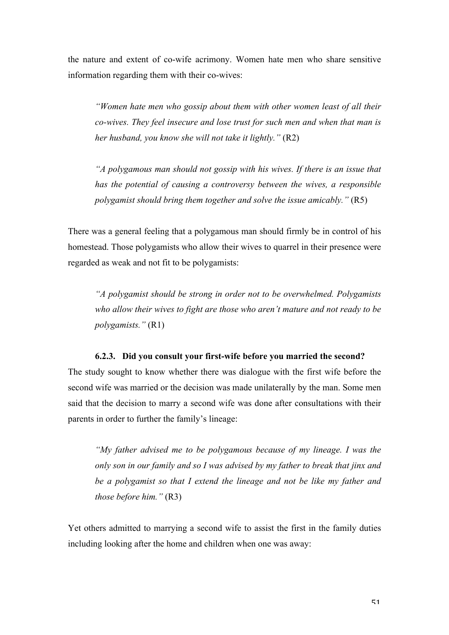the nature and extent of co-wife acrimony. Women hate men who share sensitive information regarding them with their co-wives:

*"Women hate men who gossip about them with other women least of all their co-wives. They feel insecure and lose trust for such men and when that man is her husband, you know she will not take it lightly."* (R2)

*"A polygamous man should not gossip with his wives. If there is an issue that has the potential of causing a controversy between the wives, a responsible polygamist should bring them together and solve the issue amicably."* (R5)

There was a general feeling that a polygamous man should firmly be in control of his homestead. Those polygamists who allow their wives to quarrel in their presence were regarded as weak and not fit to be polygamists:

*"A polygamist should be strong in order not to be overwhelmed. Polygamists who allow their wives to fight are those who aren't mature and not ready to be polygamists."* (R1)

#### **6.2.3. Did you consult your first-wife before you married the second?**

The study sought to know whether there was dialogue with the first wife before the second wife was married or the decision was made unilaterally by the man. Some men said that the decision to marry a second wife was done after consultations with their parents in order to further the family's lineage:

*"My father advised me to be polygamous because of my lineage. I was the only son in our family and so I was advised by my father to break that jinx and be a polygamist so that I extend the lineage and not be like my father and those before him."* (R3)

Yet others admitted to marrying a second wife to assist the first in the family duties including looking after the home and children when one was away: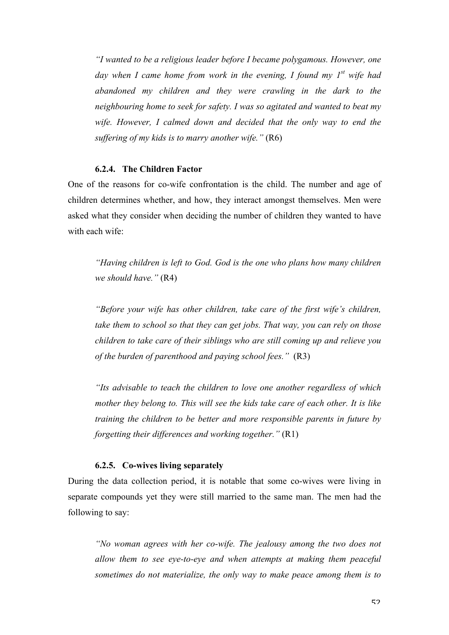*"I wanted to be a religious leader before I became polygamous. However, one day when I came home from work in the evening, I found my 1st wife had abandoned my children and they were crawling in the dark to the neighbouring home to seek for safety. I was so agitated and wanted to beat my wife. However, I calmed down and decided that the only way to end the suffering of my kids is to marry another wife."* (R6)

### **6.2.4. The Children Factor**

One of the reasons for co-wife confrontation is the child. The number and age of children determines whether, and how, they interact amongst themselves. Men were asked what they consider when deciding the number of children they wanted to have with each wife:

*"Having children is left to God. God is the one who plans how many children we should have."* (R4)

*"Before your wife has other children, take care of the first wife's children, take them to school so that they can get jobs. That way, you can rely on those children to take care of their siblings who are still coming up and relieve you of the burden of parenthood and paying school fees."* (R3)

*"Its advisable to teach the children to love one another regardless of which mother they belong to. This will see the kids take care of each other. It is like training the children to be better and more responsible parents in future by forgetting their differences and working together."* (R1)

#### **6.2.5. Co-wives living separately**

During the data collection period, it is notable that some co-wives were living in separate compounds yet they were still married to the same man. The men had the following to say:

*"No woman agrees with her co-wife. The jealousy among the two does not allow them to see eye-to-eye and when attempts at making them peaceful sometimes do not materialize, the only way to make peace among them is to*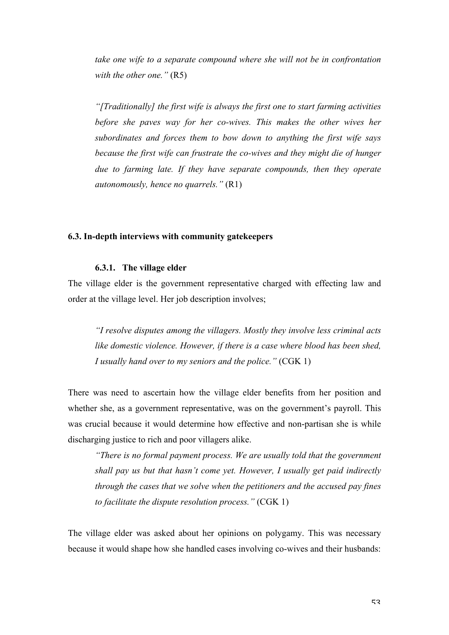*take one wife to a separate compound where she will not be in confrontation with the other one."* (R5)

*"[Traditionally] the first wife is always the first one to start farming activities before she paves way for her co-wives. This makes the other wives her subordinates and forces them to bow down to anything the first wife says because the first wife can frustrate the co-wives and they might die of hunger due to farming late. If they have separate compounds, then they operate autonomously, hence no quarrels."* (R1)

### **6.3. In-depth interviews with community gatekeepers**

# **6.3.1. The village elder**

The village elder is the government representative charged with effecting law and order at the village level. Her job description involves;

*"I resolve disputes among the villagers. Mostly they involve less criminal acts like domestic violence. However, if there is a case where blood has been shed, I usually hand over to my seniors and the police."* (CGK 1)

There was need to ascertain how the village elder benefits from her position and whether she, as a government representative, was on the government's payroll. This was crucial because it would determine how effective and non-partisan she is while discharging justice to rich and poor villagers alike.

*"There is no formal payment process. We are usually told that the government shall pay us but that hasn't come yet. However, I usually get paid indirectly through the cases that we solve when the petitioners and the accused pay fines to facilitate the dispute resolution process."* (CGK 1)

The village elder was asked about her opinions on polygamy. This was necessary because it would shape how she handled cases involving co-wives and their husbands: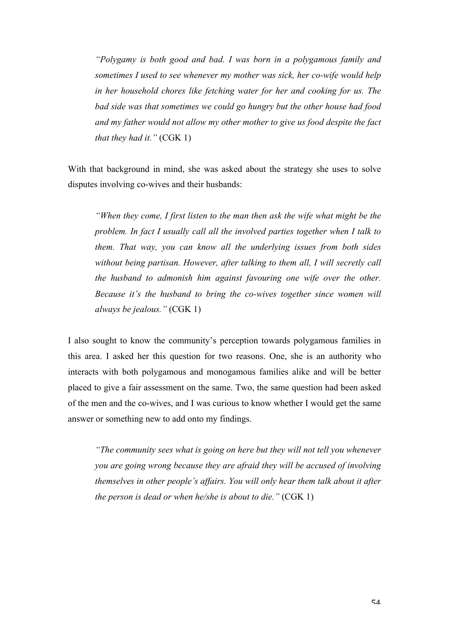*"Polygamy is both good and bad. I was born in a polygamous family and sometimes I used to see whenever my mother was sick, her co-wife would help in her household chores like fetching water for her and cooking for us. The bad side was that sometimes we could go hungry but the other house had food and my father would not allow my other mother to give us food despite the fact that they had it."* (CGK 1)

With that background in mind, she was asked about the strategy she uses to solve disputes involving co-wives and their husbands:

*"When they come, I first listen to the man then ask the wife what might be the problem. In fact I usually call all the involved parties together when I talk to them. That way, you can know all the underlying issues from both sides without being partisan. However, after talking to them all, I will secretly call the husband to admonish him against favouring one wife over the other. Because it's the husband to bring the co-wives together since women will always be jealous."* (CGK 1)

I also sought to know the community's perception towards polygamous families in this area. I asked her this question for two reasons. One, she is an authority who interacts with both polygamous and monogamous families alike and will be better placed to give a fair assessment on the same. Two, the same question had been asked of the men and the co-wives, and I was curious to know whether I would get the same answer or something new to add onto my findings.

*"The community sees what is going on here but they will not tell you whenever you are going wrong because they are afraid they will be accused of involving themselves in other people's affairs. You will only hear them talk about it after the person is dead or when he/she is about to die."* (CGK 1)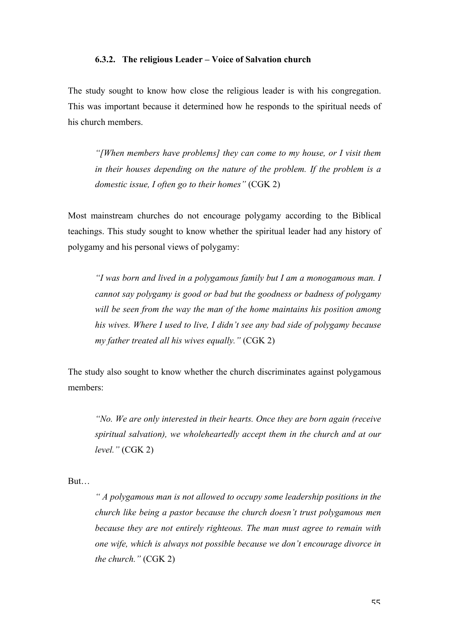### **6.3.2. The religious Leader – Voice of Salvation church**

The study sought to know how close the religious leader is with his congregation. This was important because it determined how he responds to the spiritual needs of his church members.

*"[When members have problems] they can come to my house, or I visit them in their houses depending on the nature of the problem. If the problem is a domestic issue, I often go to their homes"* (CGK 2)

Most mainstream churches do not encourage polygamy according to the Biblical teachings. This study sought to know whether the spiritual leader had any history of polygamy and his personal views of polygamy:

*"I was born and lived in a polygamous family but I am a monogamous man. I cannot say polygamy is good or bad but the goodness or badness of polygamy will be seen from the way the man of the home maintains his position among his wives. Where I used to live, I didn't see any bad side of polygamy because my father treated all his wives equally."* (CGK 2)

The study also sought to know whether the church discriminates against polygamous members:

*"No. We are only interested in their hearts. Once they are born again (receive spiritual salvation), we wholeheartedly accept them in the church and at our level."* (CGK 2)

But…

*" A polygamous man is not allowed to occupy some leadership positions in the church like being a pastor because the church doesn't trust polygamous men because they are not entirely righteous. The man must agree to remain with one wife, which is always not possible because we don't encourage divorce in the church."* (CGK 2)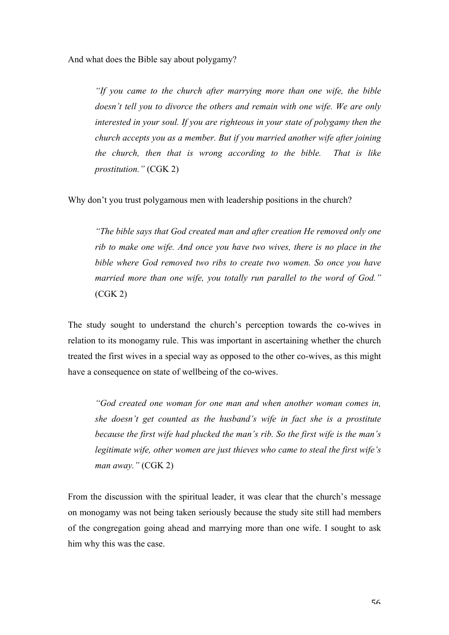And what does the Bible say about polygamy?

*"If you came to the church after marrying more than one wife, the bible doesn't tell you to divorce the others and remain with one wife. We are only interested in your soul. If you are righteous in your state of polygamy then the church accepts you as a member. But if you married another wife after joining the church, then that is wrong according to the bible. That is like prostitution."* (CGK 2)

Why don't you trust polygamous men with leadership positions in the church?

*"The bible says that God created man and after creation He removed only one rib to make one wife. And once you have two wives, there is no place in the bible where God removed two ribs to create two women. So once you have married more than one wife, you totally run parallel to the word of God."* (CGK 2)

The study sought to understand the church's perception towards the co-wives in relation to its monogamy rule. This was important in ascertaining whether the church treated the first wives in a special way as opposed to the other co-wives, as this might have a consequence on state of wellbeing of the co-wives.

*"God created one woman for one man and when another woman comes in, she doesn't get counted as the husband's wife in fact she is a prostitute because the first wife had plucked the man's rib. So the first wife is the man's legitimate wife, other women are just thieves who came to steal the first wife's man away."* (CGK 2)

From the discussion with the spiritual leader, it was clear that the church's message on monogamy was not being taken seriously because the study site still had members of the congregation going ahead and marrying more than one wife. I sought to ask him why this was the case.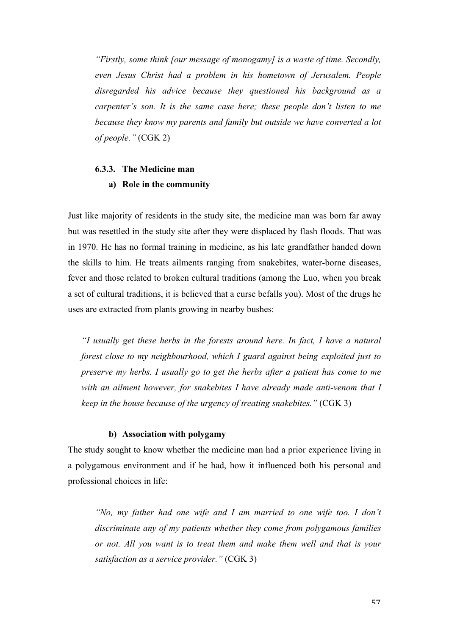*"Firstly, some think [our message of monogamy] is a waste of time. Secondly, even Jesus Christ had a problem in his hometown of Jerusalem. People disregarded his advice because they questioned his background as a carpenter's son. It is the same case here; these people don't listen to me because they know my parents and family but outside we have converted a lot of people."* (CGK 2)

### **6.3.3. The Medicine man**

### **a) Role in the community**

Just like majority of residents in the study site, the medicine man was born far away but was resettled in the study site after they were displaced by flash floods. That was in 1970. He has no formal training in medicine, as his late grandfather handed down the skills to him. He treats ailments ranging from snakebites, water-borne diseases, fever and those related to broken cultural traditions (among the Luo, when you break a set of cultural traditions, it is believed that a curse befalls you). Most of the drugs he uses are extracted from plants growing in nearby bushes:

*"I usually get these herbs in the forests around here. In fact, I have a natural forest close to my neighbourhood, which I guard against being exploited just to preserve my herbs. I usually go to get the herbs after a patient has come to me with an ailment however, for snakebites I have already made anti-venom that I keep in the house because of the urgency of treating snakebites."* (CGK 3)

### **b) Association with polygamy**

The study sought to know whether the medicine man had a prior experience living in a polygamous environment and if he had, how it influenced both his personal and professional choices in life:

*"No, my father had one wife and I am married to one wife too. I don't discriminate any of my patients whether they come from polygamous families or not. All you want is to treat them and make them well and that is your satisfaction as a service provider."* (CGK 3)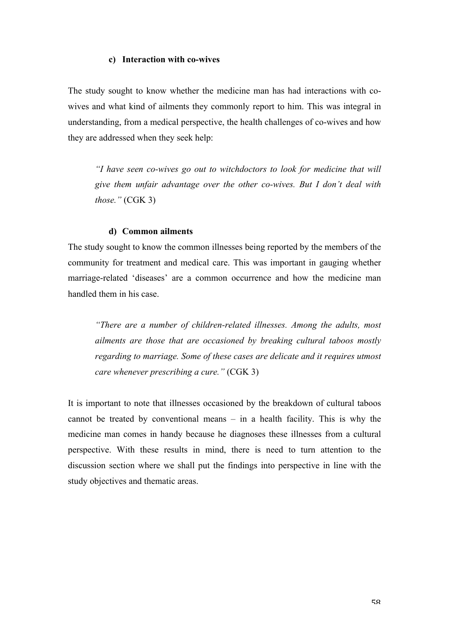### **c) Interaction with co-wives**

The study sought to know whether the medicine man has had interactions with cowives and what kind of ailments they commonly report to him. This was integral in understanding, from a medical perspective, the health challenges of co-wives and how they are addressed when they seek help:

*"I have seen co-wives go out to witchdoctors to look for medicine that will give them unfair advantage over the other co-wives. But I don't deal with those."* (CGK 3)

#### **d) Common ailments**

The study sought to know the common illnesses being reported by the members of the community for treatment and medical care. This was important in gauging whether marriage-related 'diseases' are a common occurrence and how the medicine man handled them in his case.

*"There are a number of children-related illnesses. Among the adults, most ailments are those that are occasioned by breaking cultural taboos mostly regarding to marriage. Some of these cases are delicate and it requires utmost care whenever prescribing a cure."* (CGK 3)

It is important to note that illnesses occasioned by the breakdown of cultural taboos cannot be treated by conventional means – in a health facility. This is why the medicine man comes in handy because he diagnoses these illnesses from a cultural perspective. With these results in mind, there is need to turn attention to the discussion section where we shall put the findings into perspective in line with the study objectives and thematic areas.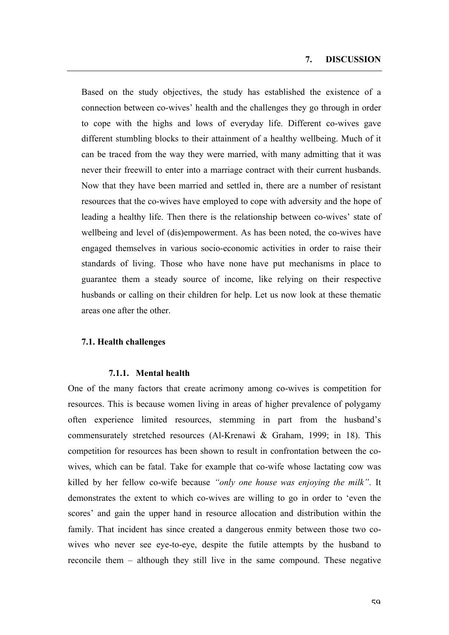Based on the study objectives, the study has established the existence of a connection between co-wives' health and the challenges they go through in order to cope with the highs and lows of everyday life. Different co-wives gave different stumbling blocks to their attainment of a healthy wellbeing. Much of it can be traced from the way they were married, with many admitting that it was never their freewill to enter into a marriage contract with their current husbands. Now that they have been married and settled in, there are a number of resistant resources that the co-wives have employed to cope with adversity and the hope of leading a healthy life. Then there is the relationship between co-wives' state of wellbeing and level of (dis)empowerment. As has been noted, the co-wives have engaged themselves in various socio-economic activities in order to raise their standards of living. Those who have none have put mechanisms in place to guarantee them a steady source of income, like relying on their respective husbands or calling on their children for help. Let us now look at these thematic areas one after the other.

# **7.1. Health challenges**

#### **7.1.1. Mental health**

One of the many factors that create acrimony among co-wives is competition for resources. This is because women living in areas of higher prevalence of polygamy often experience limited resources, stemming in part from the husband's commensurately stretched resources (Al-Krenawi & Graham, 1999; in 18). This competition for resources has been shown to result in confrontation between the cowives, which can be fatal. Take for example that co-wife whose lactating cow was killed by her fellow co-wife because *"only one house was enjoying the milk"*. It demonstrates the extent to which co-wives are willing to go in order to 'even the scores' and gain the upper hand in resource allocation and distribution within the family. That incident has since created a dangerous enmity between those two cowives who never see eye-to-eye, despite the futile attempts by the husband to reconcile them – although they still live in the same compound. These negative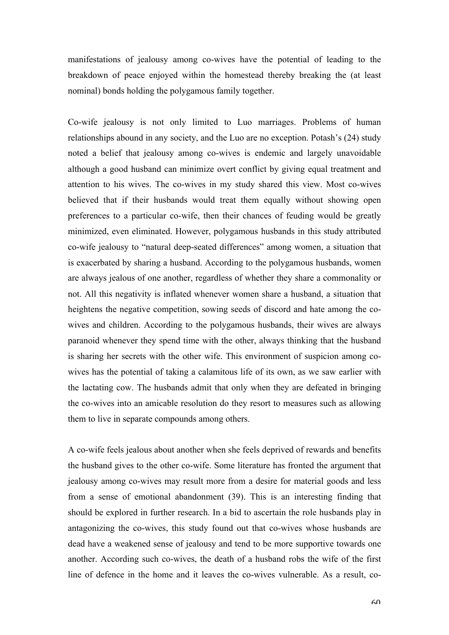manifestations of jealousy among co-wives have the potential of leading to the breakdown of peace enjoyed within the homestead thereby breaking the (at least nominal) bonds holding the polygamous family together.

Co-wife jealousy is not only limited to Luo marriages. Problems of human relationships abound in any society, and the Luo are no exception. Potash's (24) study noted a belief that jealousy among co-wives is endemic and largely unavoidable although a good husband can minimize overt conflict by giving equal treatment and attention to his wives. The co-wives in my study shared this view. Most co-wives believed that if their husbands would treat them equally without showing open preferences to a particular co-wife, then their chances of feuding would be greatly minimized, even eliminated. However, polygamous husbands in this study attributed co-wife jealousy to "natural deep-seated differences" among women, a situation that is exacerbated by sharing a husband. According to the polygamous husbands, women are always jealous of one another, regardless of whether they share a commonality or not. All this negativity is inflated whenever women share a husband, a situation that heightens the negative competition, sowing seeds of discord and hate among the cowives and children. According to the polygamous husbands, their wives are always paranoid whenever they spend time with the other, always thinking that the husband is sharing her secrets with the other wife. This environment of suspicion among cowives has the potential of taking a calamitous life of its own, as we saw earlier with the lactating cow. The husbands admit that only when they are defeated in bringing the co-wives into an amicable resolution do they resort to measures such as allowing them to live in separate compounds among others.

A co-wife feels jealous about another when she feels deprived of rewards and benefits the husband gives to the other co-wife. Some literature has fronted the argument that jealousy among co-wives may result more from a desire for material goods and less from a sense of emotional abandonment (39). This is an interesting finding that should be explored in further research. In a bid to ascertain the role husbands play in antagonizing the co-wives, this study found out that co-wives whose husbands are dead have a weakened sense of jealousy and tend to be more supportive towards one another. According such co-wives, the death of a husband robs the wife of the first line of defence in the home and it leaves the co-wives vulnerable. As a result, co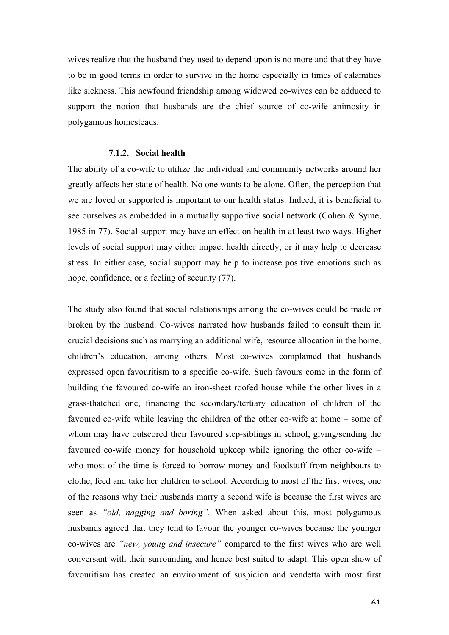wives realize that the husband they used to depend upon is no more and that they have to be in good terms in order to survive in the home especially in times of calamities like sickness. This newfound friendship among widowed co-wives can be adduced to support the notion that husbands are the chief source of co-wife animosity in polygamous homesteads.

# **7.1.2. Social health**

The ability of a co-wife to utilize the individual and community networks around her greatly affects her state of health. No one wants to be alone. Often, the perception that we are loved or supported is important to our health status. Indeed, it is beneficial to see ourselves as embedded in a mutually supportive social network (Cohen & Syme, 1985 in 77). Social support may have an effect on health in at least two ways. Higher levels of social support may either impact health directly, or it may help to decrease stress. In either case, social support may help to increase positive emotions such as hope, confidence, or a feeling of security (77).

The study also found that social relationships among the co-wives could be made or broken by the husband. Co-wives narrated how husbands failed to consult them in crucial decisions such as marrying an additional wife, resource allocation in the home, children's education, among others. Most co-wives complained that husbands expressed open favouritism to a specific co-wife. Such favours come in the form of building the favoured co-wife an iron-sheet roofed house while the other lives in a grass-thatched one, financing the secondary/tertiary education of children of the favoured co-wife while leaving the children of the other co-wife at home – some of whom may have outscored their favoured step-siblings in school, giving/sending the favoured co-wife money for household upkeep while ignoring the other co-wife – who most of the time is forced to borrow money and foodstuff from neighbours to clothe, feed and take her children to school. According to most of the first wives, one of the reasons why their husbands marry a second wife is because the first wives are seen as *"old, nagging and boring".* When asked about this, most polygamous husbands agreed that they tend to favour the younger co-wives because the younger co-wives are *"new, young and insecure"* compared to the first wives who are well conversant with their surrounding and hence best suited to adapt. This open show of favouritism has created an environment of suspicion and vendetta with most first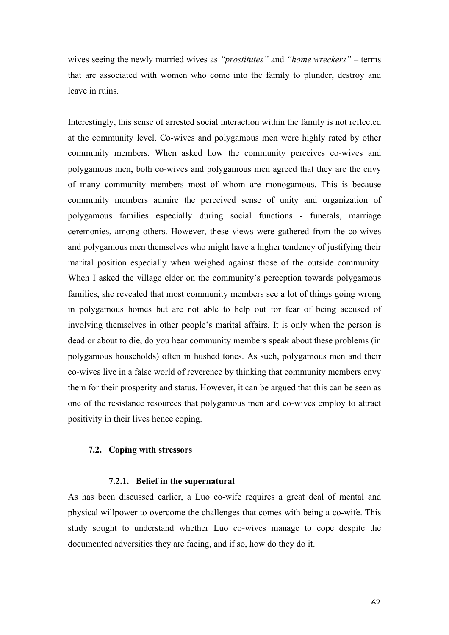wives seeing the newly married wives as *"prostitutes"* and *"home wreckers"* – terms that are associated with women who come into the family to plunder, destroy and leave in ruins.

Interestingly, this sense of arrested social interaction within the family is not reflected at the community level. Co-wives and polygamous men were highly rated by other community members. When asked how the community perceives co-wives and polygamous men, both co-wives and polygamous men agreed that they are the envy of many community members most of whom are monogamous. This is because community members admire the perceived sense of unity and organization of polygamous families especially during social functions - funerals, marriage ceremonies, among others. However, these views were gathered from the co-wives and polygamous men themselves who might have a higher tendency of justifying their marital position especially when weighed against those of the outside community. When I asked the village elder on the community's perception towards polygamous families, she revealed that most community members see a lot of things going wrong in polygamous homes but are not able to help out for fear of being accused of involving themselves in other people's marital affairs. It is only when the person is dead or about to die, do you hear community members speak about these problems (in polygamous households) often in hushed tones. As such, polygamous men and their co-wives live in a false world of reverence by thinking that community members envy them for their prosperity and status. However, it can be argued that this can be seen as one of the resistance resources that polygamous men and co-wives employ to attract positivity in their lives hence coping.

# **7.2. Coping with stressors**

#### **7.2.1. Belief in the supernatural**

As has been discussed earlier, a Luo co-wife requires a great deal of mental and physical willpower to overcome the challenges that comes with being a co-wife. This study sought to understand whether Luo co-wives manage to cope despite the documented adversities they are facing, and if so, how do they do it.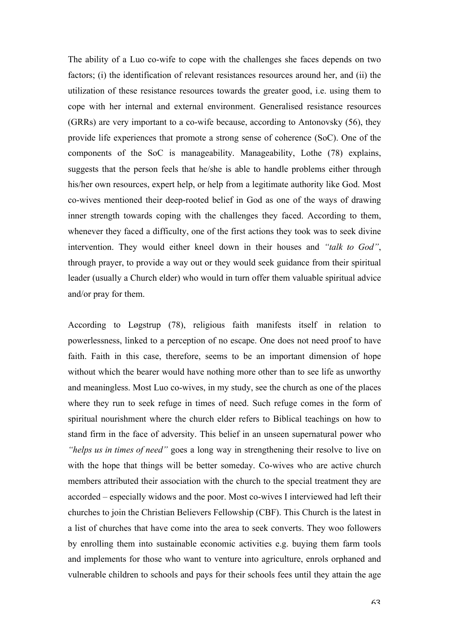The ability of a Luo co-wife to cope with the challenges she faces depends on two factors; (i) the identification of relevant resistances resources around her, and (ii) the utilization of these resistance resources towards the greater good, i.e. using them to cope with her internal and external environment. Generalised resistance resources (GRRs) are very important to a co-wife because, according to Antonovsky (56), they provide life experiences that promote a strong sense of coherence (SoC). One of the components of the SoC is manageability. Manageability, Lothe (78) explains, suggests that the person feels that he/she is able to handle problems either through his/her own resources, expert help, or help from a legitimate authority like God. Most co-wives mentioned their deep-rooted belief in God as one of the ways of drawing inner strength towards coping with the challenges they faced. According to them, whenever they faced a difficulty, one of the first actions they took was to seek divine intervention. They would either kneel down in their houses and *"talk to God"*, through prayer, to provide a way out or they would seek guidance from their spiritual leader (usually a Church elder) who would in turn offer them valuable spiritual advice and/or pray for them.

According to Løgstrup (78), religious faith manifests itself in relation to powerlessness, linked to a perception of no escape. One does not need proof to have faith. Faith in this case, therefore, seems to be an important dimension of hope without which the bearer would have nothing more other than to see life as unworthy and meaningless. Most Luo co-wives, in my study, see the church as one of the places where they run to seek refuge in times of need. Such refuge comes in the form of spiritual nourishment where the church elder refers to Biblical teachings on how to stand firm in the face of adversity. This belief in an unseen supernatural power who *"helps us in times of need"* goes a long way in strengthening their resolve to live on with the hope that things will be better someday. Co-wives who are active church members attributed their association with the church to the special treatment they are accorded – especially widows and the poor. Most co-wives I interviewed had left their churches to join the Christian Believers Fellowship (CBF). This Church is the latest in a list of churches that have come into the area to seek converts. They woo followers by enrolling them into sustainable economic activities e.g. buying them farm tools and implements for those who want to venture into agriculture, enrols orphaned and vulnerable children to schools and pays for their schools fees until they attain the age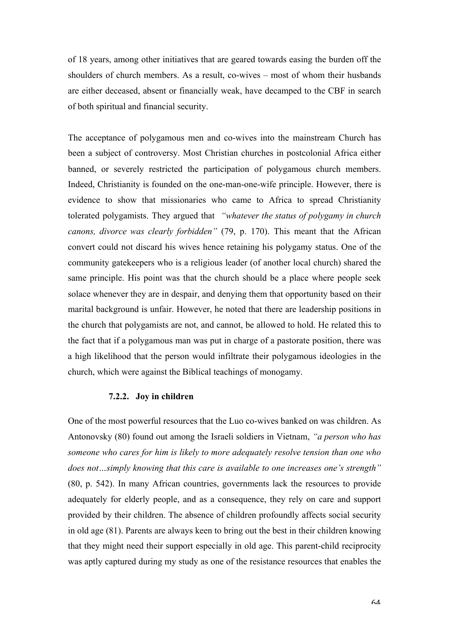of 18 years, among other initiatives that are geared towards easing the burden off the shoulders of church members. As a result, co-wives – most of whom their husbands are either deceased, absent or financially weak, have decamped to the CBF in search of both spiritual and financial security.

The acceptance of polygamous men and co-wives into the mainstream Church has been a subject of controversy. Most Christian churches in postcolonial Africa either banned, or severely restricted the participation of polygamous church members. Indeed, Christianity is founded on the one-man-one-wife principle. However, there is evidence to show that missionaries who came to Africa to spread Christianity tolerated polygamists. They argued that *"whatever the status of polygamy in church canons, divorce was clearly forbidden"* (79, p. 170). This meant that the African convert could not discard his wives hence retaining his polygamy status. One of the community gatekeepers who is a religious leader (of another local church) shared the same principle. His point was that the church should be a place where people seek solace whenever they are in despair, and denying them that opportunity based on their marital background is unfair. However, he noted that there are leadership positions in the church that polygamists are not, and cannot, be allowed to hold. He related this to the fact that if a polygamous man was put in charge of a pastorate position, there was a high likelihood that the person would infiltrate their polygamous ideologies in the church, which were against the Biblical teachings of monogamy.

### **7.2.2. Joy in children**

One of the most powerful resources that the Luo co-wives banked on was children. As Antonovsky (80) found out among the Israeli soldiers in Vietnam, *"a person who has someone who cares for him is likely to more adequately resolve tension than one who does not…simply knowing that this care is available to one increases one's strength"* (80, p. 542). In many African countries, governments lack the resources to provide adequately for elderly people, and as a consequence, they rely on care and support provided by their children. The absence of children profoundly affects social security in old age (81). Parents are always keen to bring out the best in their children knowing that they might need their support especially in old age. This parent-child reciprocity was aptly captured during my study as one of the resistance resources that enables the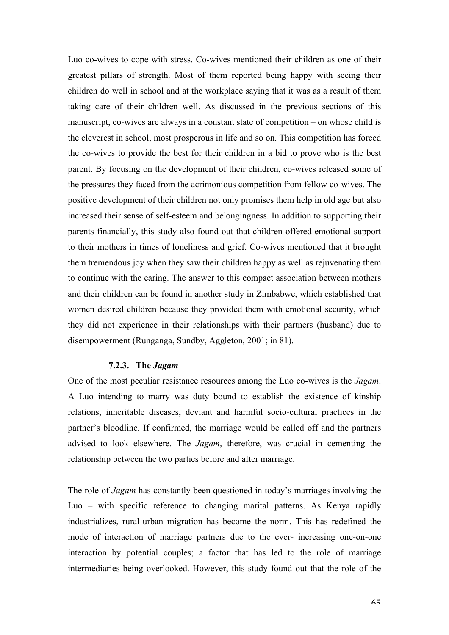Luo co-wives to cope with stress. Co-wives mentioned their children as one of their greatest pillars of strength. Most of them reported being happy with seeing their children do well in school and at the workplace saying that it was as a result of them taking care of their children well. As discussed in the previous sections of this manuscript, co-wives are always in a constant state of competition – on whose child is the cleverest in school, most prosperous in life and so on. This competition has forced the co-wives to provide the best for their children in a bid to prove who is the best parent. By focusing on the development of their children, co-wives released some of the pressures they faced from the acrimonious competition from fellow co-wives. The positive development of their children not only promises them help in old age but also increased their sense of self-esteem and belongingness. In addition to supporting their parents financially, this study also found out that children offered emotional support to their mothers in times of loneliness and grief. Co-wives mentioned that it brought them tremendous joy when they saw their children happy as well as rejuvenating them to continue with the caring. The answer to this compact association between mothers and their children can be found in another study in Zimbabwe, which established that women desired children because they provided them with emotional security, which they did not experience in their relationships with their partners (husband) due to disempowerment (Runganga, Sundby, Aggleton, 2001; in 81).

### **7.2.3. The** *Jagam*

One of the most peculiar resistance resources among the Luo co-wives is the *Jagam*. A Luo intending to marry was duty bound to establish the existence of kinship relations, inheritable diseases, deviant and harmful socio-cultural practices in the partner's bloodline. If confirmed, the marriage would be called off and the partners advised to look elsewhere. The *Jagam*, therefore, was crucial in cementing the relationship between the two parties before and after marriage.

The role of *Jagam* has constantly been questioned in today's marriages involving the Luo – with specific reference to changing marital patterns. As Kenya rapidly industrializes, rural-urban migration has become the norm. This has redefined the mode of interaction of marriage partners due to the ever- increasing one-on-one interaction by potential couples; a factor that has led to the role of marriage intermediaries being overlooked. However, this study found out that the role of the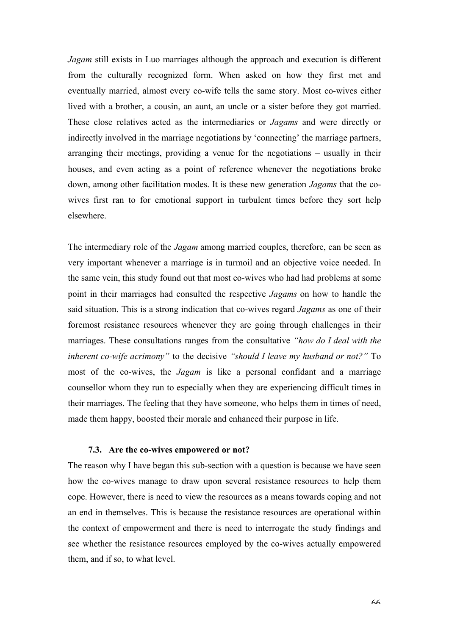*Jagam* still exists in Luo marriages although the approach and execution is different from the culturally recognized form. When asked on how they first met and eventually married, almost every co-wife tells the same story. Most co-wives either lived with a brother, a cousin, an aunt, an uncle or a sister before they got married. These close relatives acted as the intermediaries or *Jagams* and were directly or indirectly involved in the marriage negotiations by 'connecting' the marriage partners, arranging their meetings, providing a venue for the negotiations – usually in their houses, and even acting as a point of reference whenever the negotiations broke down, among other facilitation modes. It is these new generation *Jagams* that the cowives first ran to for emotional support in turbulent times before they sort help elsewhere.

The intermediary role of the *Jagam* among married couples, therefore, can be seen as very important whenever a marriage is in turmoil and an objective voice needed. In the same vein, this study found out that most co-wives who had had problems at some point in their marriages had consulted the respective *Jagams* on how to handle the said situation. This is a strong indication that co-wives regard *Jagams* as one of their foremost resistance resources whenever they are going through challenges in their marriages. These consultations ranges from the consultative *"how do I deal with the inherent co-wife acrimony"* to the decisive *"should I leave my husband or not?"* To most of the co-wives, the *Jagam* is like a personal confidant and a marriage counsellor whom they run to especially when they are experiencing difficult times in their marriages. The feeling that they have someone, who helps them in times of need, made them happy, boosted their morale and enhanced their purpose in life.

# **7.3. Are the co-wives empowered or not?**

The reason why I have began this sub-section with a question is because we have seen how the co-wives manage to draw upon several resistance resources to help them cope. However, there is need to view the resources as a means towards coping and not an end in themselves. This is because the resistance resources are operational within the context of empowerment and there is need to interrogate the study findings and see whether the resistance resources employed by the co-wives actually empowered them, and if so, to what level.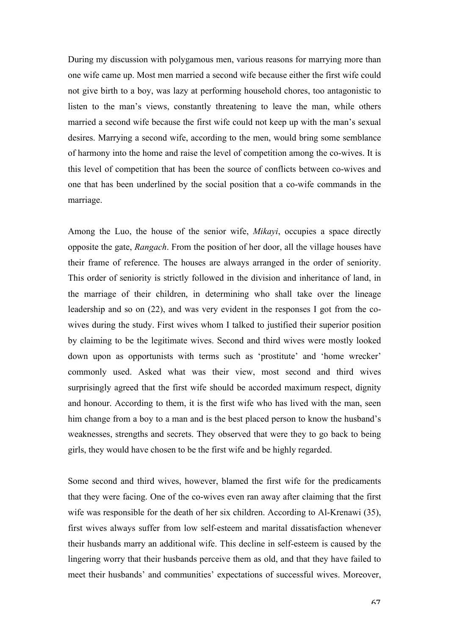During my discussion with polygamous men, various reasons for marrying more than one wife came up. Most men married a second wife because either the first wife could not give birth to a boy, was lazy at performing household chores, too antagonistic to listen to the man's views, constantly threatening to leave the man, while others married a second wife because the first wife could not keep up with the man's sexual desires. Marrying a second wife, according to the men, would bring some semblance of harmony into the home and raise the level of competition among the co-wives. It is this level of competition that has been the source of conflicts between co-wives and one that has been underlined by the social position that a co-wife commands in the marriage.

Among the Luo, the house of the senior wife, *Mikayi*, occupies a space directly opposite the gate, *Rangach*. From the position of her door, all the village houses have their frame of reference. The houses are always arranged in the order of seniority. This order of seniority is strictly followed in the division and inheritance of land, in the marriage of their children, in determining who shall take over the lineage leadership and so on (22), and was very evident in the responses I got from the cowives during the study. First wives whom I talked to justified their superior position by claiming to be the legitimate wives. Second and third wives were mostly looked down upon as opportunists with terms such as 'prostitute' and 'home wrecker' commonly used. Asked what was their view, most second and third wives surprisingly agreed that the first wife should be accorded maximum respect, dignity and honour. According to them, it is the first wife who has lived with the man, seen him change from a boy to a man and is the best placed person to know the husband's weaknesses, strengths and secrets. They observed that were they to go back to being girls, they would have chosen to be the first wife and be highly regarded.

Some second and third wives, however, blamed the first wife for the predicaments that they were facing. One of the co-wives even ran away after claiming that the first wife was responsible for the death of her six children. According to Al-Krenawi (35), first wives always suffer from low self-esteem and marital dissatisfaction whenever their husbands marry an additional wife. This decline in self-esteem is caused by the lingering worry that their husbands perceive them as old, and that they have failed to meet their husbands' and communities' expectations of successful wives. Moreover,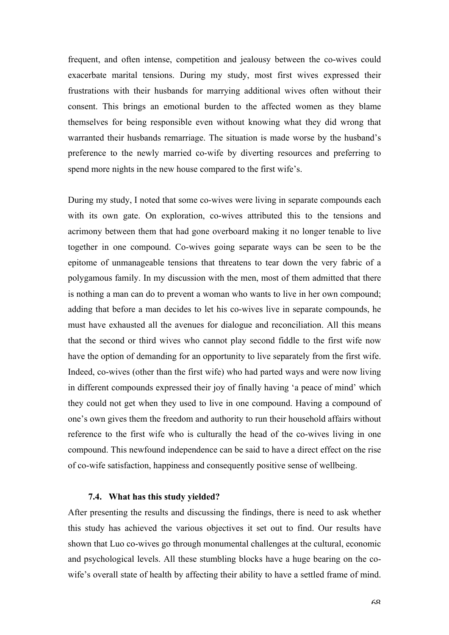frequent, and often intense, competition and jealousy between the co-wives could exacerbate marital tensions. During my study, most first wives expressed their frustrations with their husbands for marrying additional wives often without their consent. This brings an emotional burden to the affected women as they blame themselves for being responsible even without knowing what they did wrong that warranted their husbands remarriage. The situation is made worse by the husband's preference to the newly married co-wife by diverting resources and preferring to spend more nights in the new house compared to the first wife's.

During my study, I noted that some co-wives were living in separate compounds each with its own gate. On exploration, co-wives attributed this to the tensions and acrimony between them that had gone overboard making it no longer tenable to live together in one compound. Co-wives going separate ways can be seen to be the epitome of unmanageable tensions that threatens to tear down the very fabric of a polygamous family. In my discussion with the men, most of them admitted that there is nothing a man can do to prevent a woman who wants to live in her own compound; adding that before a man decides to let his co-wives live in separate compounds, he must have exhausted all the avenues for dialogue and reconciliation. All this means that the second or third wives who cannot play second fiddle to the first wife now have the option of demanding for an opportunity to live separately from the first wife. Indeed, co-wives (other than the first wife) who had parted ways and were now living in different compounds expressed their joy of finally having 'a peace of mind' which they could not get when they used to live in one compound. Having a compound of one's own gives them the freedom and authority to run their household affairs without reference to the first wife who is culturally the head of the co-wives living in one compound. This newfound independence can be said to have a direct effect on the rise of co-wife satisfaction, happiness and consequently positive sense of wellbeing.

#### **7.4. What has this study yielded?**

After presenting the results and discussing the findings, there is need to ask whether this study has achieved the various objectives it set out to find. Our results have shown that Luo co-wives go through monumental challenges at the cultural, economic and psychological levels. All these stumbling blocks have a huge bearing on the cowife's overall state of health by affecting their ability to have a settled frame of mind.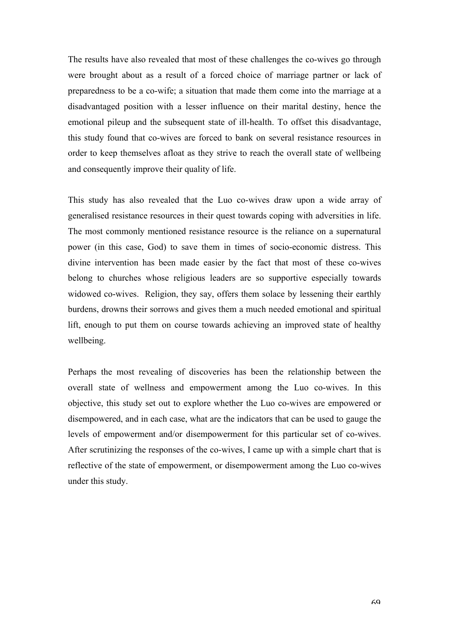The results have also revealed that most of these challenges the co-wives go through were brought about as a result of a forced choice of marriage partner or lack of preparedness to be a co-wife; a situation that made them come into the marriage at a disadvantaged position with a lesser influence on their marital destiny, hence the emotional pileup and the subsequent state of ill-health. To offset this disadvantage, this study found that co-wives are forced to bank on several resistance resources in order to keep themselves afloat as they strive to reach the overall state of wellbeing and consequently improve their quality of life.

This study has also revealed that the Luo co-wives draw upon a wide array of generalised resistance resources in their quest towards coping with adversities in life. The most commonly mentioned resistance resource is the reliance on a supernatural power (in this case, God) to save them in times of socio-economic distress. This divine intervention has been made easier by the fact that most of these co-wives belong to churches whose religious leaders are so supportive especially towards widowed co-wives. Religion, they say, offers them solace by lessening their earthly burdens, drowns their sorrows and gives them a much needed emotional and spiritual lift, enough to put them on course towards achieving an improved state of healthy wellbeing.

Perhaps the most revealing of discoveries has been the relationship between the overall state of wellness and empowerment among the Luo co-wives. In this objective, this study set out to explore whether the Luo co-wives are empowered or disempowered, and in each case, what are the indicators that can be used to gauge the levels of empowerment and/or disempowerment for this particular set of co-wives. After scrutinizing the responses of the co-wives, I came up with a simple chart that is reflective of the state of empowerment, or disempowerment among the Luo co-wives under this study.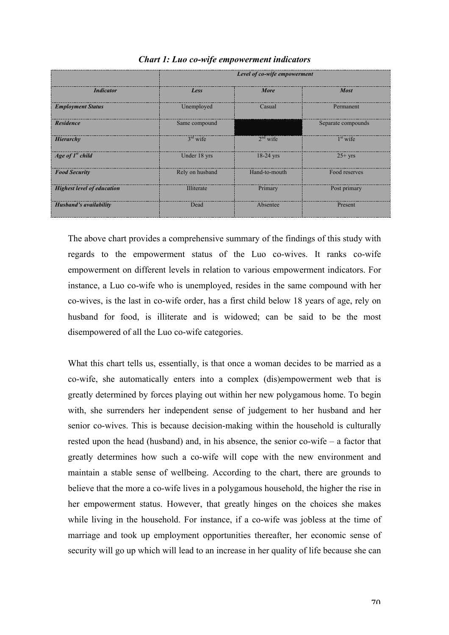|                                   | Level of co-wife empowerment |               |                    |
|-----------------------------------|------------------------------|---------------|--------------------|
| <b>Indicator</b>                  | Less                         | More          | <b>Most</b>        |
| <b>Employment Status</b>          | Unemployed                   | Casual        | Permanent          |
| <b>Residence</b>                  | Same compound                |               | Separate compounds |
| Hierarchy                         | $3rd$ wife                   | $2nd$ wife    | $1st$ wife         |
| Age of $Ist$ child                | Under 18 yrs                 | $18-24$ yrs   | $25+$ yrs          |
| <b>Food Security</b>              | Rely on husband              | Hand-to-mouth | Food reserves      |
| <b>Highest level of education</b> | <b>Illiterate</b>            | Primary       | Post primary       |
| <b>Husband's availability</b>     | Dead                         | Absentee      | Present            |

# *Chart 1: Luo co-wife empowerment indicators*

The above chart provides a comprehensive summary of the findings of this study with regards to the empowerment status of the Luo co-wives. It ranks co-wife empowerment on different levels in relation to various empowerment indicators. For instance, a Luo co-wife who is unemployed, resides in the same compound with her co-wives, is the last in co-wife order, has a first child below 18 years of age, rely on husband for food, is illiterate and is widowed; can be said to be the most disempowered of all the Luo co-wife categories.

What this chart tells us, essentially, is that once a woman decides to be married as a co-wife, she automatically enters into a complex (dis)empowerment web that is greatly determined by forces playing out within her new polygamous home. To begin with, she surrenders her independent sense of judgement to her husband and her senior co-wives. This is because decision-making within the household is culturally rested upon the head (husband) and, in his absence, the senior co-wife – a factor that greatly determines how such a co-wife will cope with the new environment and maintain a stable sense of wellbeing. According to the chart, there are grounds to believe that the more a co-wife lives in a polygamous household, the higher the rise in her empowerment status. However, that greatly hinges on the choices she makes while living in the household. For instance, if a co-wife was jobless at the time of marriage and took up employment opportunities thereafter, her economic sense of security will go up which will lead to an increase in her quality of life because she can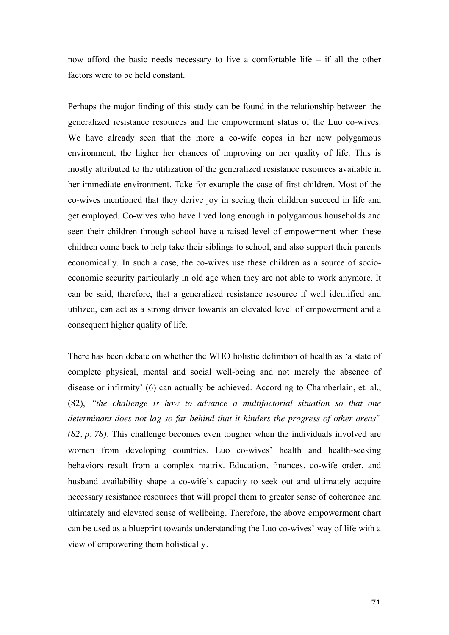now afford the basic needs necessary to live a comfortable life – if all the other factors were to be held constant.

Perhaps the major finding of this study can be found in the relationship between the generalized resistance resources and the empowerment status of the Luo co-wives. We have already seen that the more a co-wife copes in her new polygamous environment, the higher her chances of improving on her quality of life. This is mostly attributed to the utilization of the generalized resistance resources available in her immediate environment. Take for example the case of first children. Most of the co-wives mentioned that they derive joy in seeing their children succeed in life and get employed. Co-wives who have lived long enough in polygamous households and seen their children through school have a raised level of empowerment when these children come back to help take their siblings to school, and also support their parents economically. In such a case, the co-wives use these children as a source of socioeconomic security particularly in old age when they are not able to work anymore. It can be said, therefore, that a generalized resistance resource if well identified and utilized, can act as a strong driver towards an elevated level of empowerment and a consequent higher quality of life.

There has been debate on whether the WHO holistic definition of health as 'a state of complete physical, mental and social well-being and not merely the absence of disease or infirmity' (6) can actually be achieved. According to Chamberlain, et. al., (82), *"the challenge is how to advance a multifactorial situation so that one determinant does not lag so far behind that it hinders the progress of other areas" (82, p. 78)*. This challenge becomes even tougher when the individuals involved are women from developing countries. Luo co-wives' health and health-seeking behaviors result from a complex matrix. Education, finances, co-wife order, and husband availability shape a co-wife's capacity to seek out and ultimately acquire necessary resistance resources that will propel them to greater sense of coherence and ultimately and elevated sense of wellbeing. Therefore, the above empowerment chart can be used as a blueprint towards understanding the Luo co-wives' way of life with a view of empowering them holistically.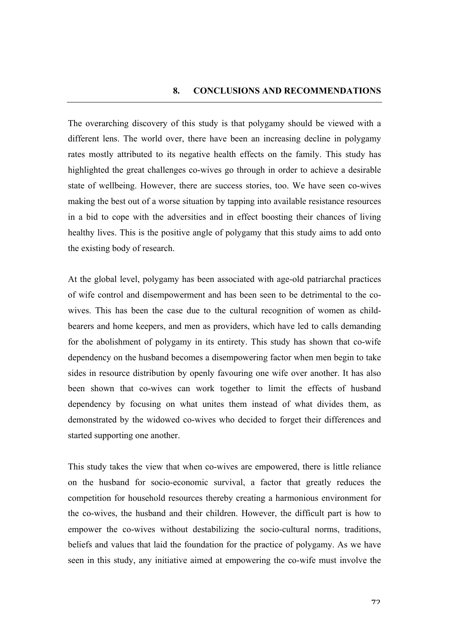The overarching discovery of this study is that polygamy should be viewed with a different lens. The world over, there have been an increasing decline in polygamy rates mostly attributed to its negative health effects on the family. This study has highlighted the great challenges co-wives go through in order to achieve a desirable state of wellbeing. However, there are success stories, too. We have seen co-wives making the best out of a worse situation by tapping into available resistance resources in a bid to cope with the adversities and in effect boosting their chances of living healthy lives. This is the positive angle of polygamy that this study aims to add onto the existing body of research.

At the global level, polygamy has been associated with age-old patriarchal practices of wife control and disempowerment and has been seen to be detrimental to the cowives. This has been the case due to the cultural recognition of women as childbearers and home keepers, and men as providers, which have led to calls demanding for the abolishment of polygamy in its entirety. This study has shown that co-wife dependency on the husband becomes a disempowering factor when men begin to take sides in resource distribution by openly favouring one wife over another. It has also been shown that co-wives can work together to limit the effects of husband dependency by focusing on what unites them instead of what divides them, as demonstrated by the widowed co-wives who decided to forget their differences and started supporting one another.

This study takes the view that when co-wives are empowered, there is little reliance on the husband for socio-economic survival, a factor that greatly reduces the competition for household resources thereby creating a harmonious environment for the co-wives, the husband and their children. However, the difficult part is how to empower the co-wives without destabilizing the socio-cultural norms, traditions, beliefs and values that laid the foundation for the practice of polygamy. As we have seen in this study, any initiative aimed at empowering the co-wife must involve the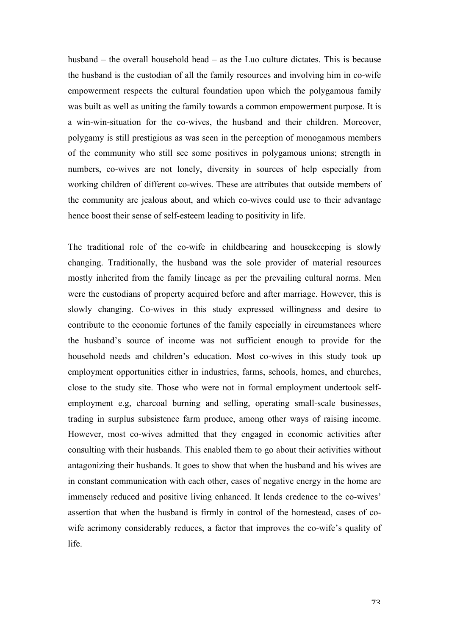husband – the overall household head – as the Luo culture dictates. This is because the husband is the custodian of all the family resources and involving him in co-wife empowerment respects the cultural foundation upon which the polygamous family was built as well as uniting the family towards a common empowerment purpose. It is a win-win-situation for the co-wives, the husband and their children. Moreover, polygamy is still prestigious as was seen in the perception of monogamous members of the community who still see some positives in polygamous unions; strength in numbers, co-wives are not lonely, diversity in sources of help especially from working children of different co-wives. These are attributes that outside members of the community are jealous about, and which co-wives could use to their advantage hence boost their sense of self-esteem leading to positivity in life.

The traditional role of the co-wife in childbearing and housekeeping is slowly changing. Traditionally, the husband was the sole provider of material resources mostly inherited from the family lineage as per the prevailing cultural norms. Men were the custodians of property acquired before and after marriage. However, this is slowly changing. Co-wives in this study expressed willingness and desire to contribute to the economic fortunes of the family especially in circumstances where the husband's source of income was not sufficient enough to provide for the household needs and children's education. Most co-wives in this study took up employment opportunities either in industries, farms, schools, homes, and churches, close to the study site. Those who were not in formal employment undertook selfemployment e.g, charcoal burning and selling, operating small-scale businesses, trading in surplus subsistence farm produce, among other ways of raising income. However, most co-wives admitted that they engaged in economic activities after consulting with their husbands. This enabled them to go about their activities without antagonizing their husbands. It goes to show that when the husband and his wives are in constant communication with each other, cases of negative energy in the home are immensely reduced and positive living enhanced. It lends credence to the co-wives' assertion that when the husband is firmly in control of the homestead, cases of cowife acrimony considerably reduces, a factor that improves the co-wife's quality of life.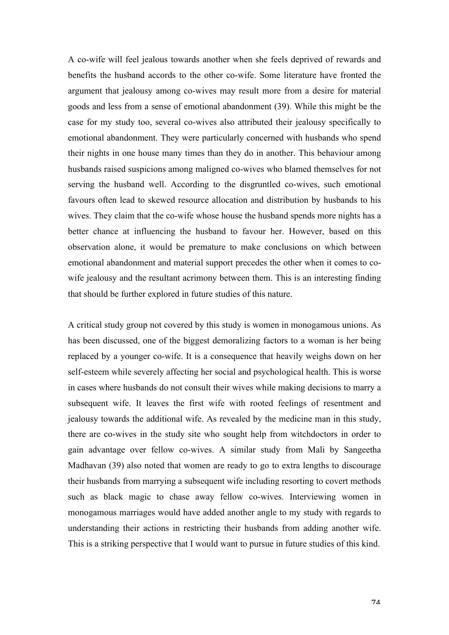A co-wife will feel jealous towards another when she feels deprived of rewards and benefits the husband accords to the other co-wife. Some literature have fronted the argument that jealousy among co-wives may result more from a desire for material goods and less from a sense of emotional abandonment (39). While this might be the case for my study too, several co-wives also attributed their jealousy specifically to emotional abandonment. They were particularly concerned with husbands who spend their nights in one house many times than they do in another. This behaviour among husbands raised suspicions among maligned co-wives who blamed themselves for not serving the husband well. According to the disgruntled co-wives, such emotional favours often lead to skewed resource allocation and distribution by husbands to his wives. They claim that the co-wife whose house the husband spends more nights has a better chance at influencing the husband to favour her. However, based on this observation alone, it would be premature to make conclusions on which between emotional abandonment and material support precedes the other when it comes to cowife jealousy and the resultant acrimony between them. This is an interesting finding that should be further explored in future studies of this nature.

A critical study group not covered by this study is women in monogamous unions. As has been discussed, one of the biggest demoralizing factors to a woman is her being replaced by a younger co-wife. It is a consequence that heavily weighs down on her self-esteem while severely affecting her social and psychological health. This is worse in cases where husbands do not consult their wives while making decisions to marry a subsequent wife. It leaves the first wife with rooted feelings of resentment and jealousy towards the additional wife. As revealed by the medicine man in this study, there are co-wives in the study site who sought help from witchdoctors in order to gain advantage over fellow co-wives. A similar study from Mali by Sangeetha Madhavan (39) also noted that women are ready to go to extra lengths to discourage their husbands from marrying a subsequent wife including resorting to covert methods such as black magic to chase away fellow co-wives. Interviewing women in monogamous marriages would have added another angle to my study with regards to understanding their actions in restricting their husbands from adding another wife. This is a striking perspective that I would want to pursue in future studies of this kind.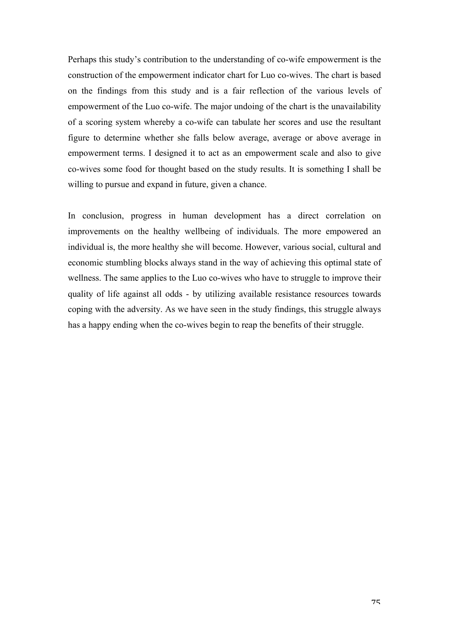Perhaps this study's contribution to the understanding of co-wife empowerment is the construction of the empowerment indicator chart for Luo co-wives. The chart is based on the findings from this study and is a fair reflection of the various levels of empowerment of the Luo co-wife. The major undoing of the chart is the unavailability of a scoring system whereby a co-wife can tabulate her scores and use the resultant figure to determine whether she falls below average, average or above average in empowerment terms. I designed it to act as an empowerment scale and also to give co-wives some food for thought based on the study results. It is something I shall be willing to pursue and expand in future, given a chance.

In conclusion, progress in human development has a direct correlation on improvements on the healthy wellbeing of individuals. The more empowered an individual is, the more healthy she will become. However, various social, cultural and economic stumbling blocks always stand in the way of achieving this optimal state of wellness. The same applies to the Luo co-wives who have to struggle to improve their quality of life against all odds - by utilizing available resistance resources towards coping with the adversity. As we have seen in the study findings, this struggle always has a happy ending when the co-wives begin to reap the benefits of their struggle.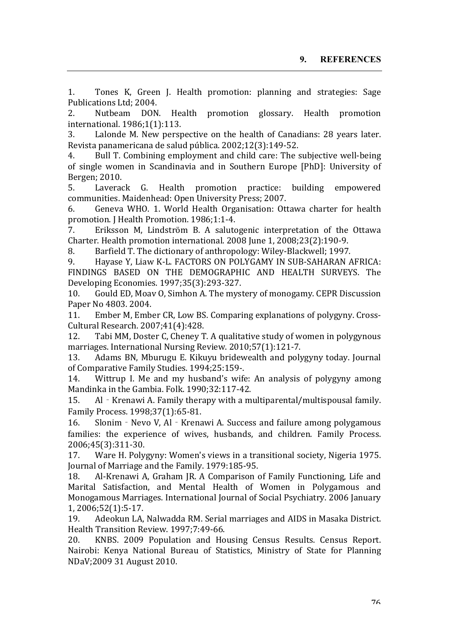1. Tones K, Green J. Health promotion: planning and strategies: Sage Publications Ltd; 2004.

2. Nutbeam DON. Health promotion glossary. Health promotion international. 1986;1(1):113.

3. Lalonde M. New perspective on the health of Canadians: 28 years later. Revista panamericana de salud pública. 2002;12(3):149-52.

4. Bull T. Combining employment and child care: The subjective well-being of single women in Scandinavia and in Southern Europe [PhD]: University of Bergen; 2010.

5. Laverack G. Health promotion practice: building empowered communities. Maidenhead: Open University Press; 2007.

6. Geneva WHO. 1. World Health Organisation: Ottawa charter for health promotion. J Health Promotion. 1986;1:1-4.

7. Eriksson M, Lindström B. A salutogenic interpretation of the Ottawa Charter. Health promotion international. 2008 June 1, 2008;23(2):190-9.

8. Barfield T. The dictionary of anthropology: Wiley-Blackwell; 1997.

9. Havase Y, Liaw K-L, FACTORS ON POLYGAMY IN SUB-SAHARAN AFRICA: FINDINGS BASED ON THE DEMOGRAPHIC AND HEALTH SURVEYS. The Developing Economies. 1997;35(3):293-327.

10. Gould ED, Moav O, Simhon A. The mystery of monogamy. CEPR Discussion Paper No 4803, 2004.

11. Ember M, Ember CR, Low BS. Comparing explanations of polygyny. Cross-Cultural Research. 2007;41(4):428.

12. Tabi MM, Doster C, Cheney T. A qualitative study of women in polygynous marriages. International Nursing Review. 2010;57(1):121-7.

13. Adams BN, Mburugu E. Kikuyu bridewealth and polygyny today. Journal of Comparative Family Studies. 1994;25:159-.

14. Wittrup I. Me and my husband's wife: An analysis of polygyny among Mandinka in the Gambia. Folk. 1990;32:117-42.

15. Al - Krenawi A. Family therapy with a multiparental/multispousal family. Family Process. 1998;37(1):65-81.

16. Slonim - Nevo V, Al - Krenawi A. Success and failure among polygamous families: the experience of wives, husbands, and children. Family Process. 2006;45(3):311-30.

17. Ware H. Polygyny: Women's views in a transitional society, Nigeria 1975. Journal of Marriage and the Family. 1979:185-95.

18. Al-Krenawi A, Graham IR, A Comparison of Family Functioning, Life and Marital Satisfaction, and Mental Health of Women in Polygamous and Monogamous Marriages. International Journal of Social Psychiatry. 2006 January 1, 2006;52(1):5-17.

19. Adeokun LA, Nalwadda RM. Serial marriages and AIDS in Masaka District. Health Transition Review. 1997;7:49-66.

20. KNBS. 2009 Population and Housing Census Results. Census Report. Nairobi: Kenya National Bureau of Statistics, Ministry of State for Planning NDaV;2009 31 August 2010.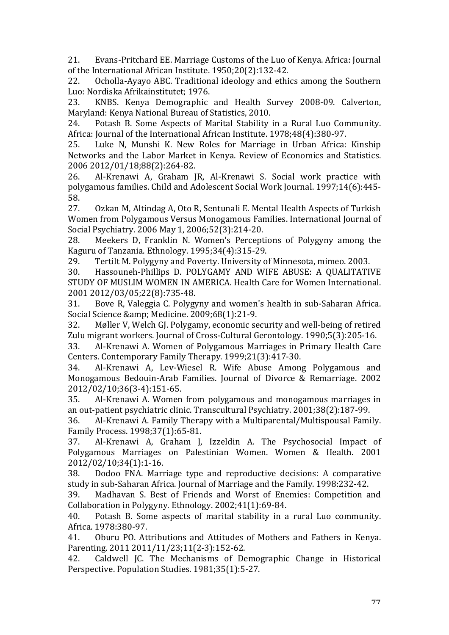21. Evans-Pritchard EE. Marriage Customs of the Luo of Kenya. Africa: Journal of the International African Institute. 1950;20(2):132-42.

22. Ocholla-Ayayo ABC. Traditional ideology and ethics among the Southern Luo: Nordiska Afrikainstitutet; 1976.

23. KNBS. Kenya Demographic and Health Survey 2008-09. Calverton, Maryland: Kenya National Bureau of Statistics, 2010.

24. Potash B. Some Aspects of Marital Stability in a Rural Luo Community. Africa: Journal of the International African Institute. 1978;48(4):380-97.

25. Luke N, Munshi K. New Roles for Marriage in Urban Africa: Kinship Networks and the Labor Market in Kenya. Review of Economics and Statistics. 2006 2012/01/18;88(2):264-82.

26. Al-Krenawi A, Graham JR, Al-Krenawi S. Social work practice with polygamous families. Child and Adolescent Social Work Journal. 1997;14(6):445-58.

27. Ozkan M, Altindag A, Oto R, Sentunali E. Mental Health Aspects of Turkish Women from Polygamous Versus Monogamous Families. International Journal of Social Psychiatry. 2006 May 1, 2006:52(3):214-20.

28. Meekers D, Franklin N. Women's Perceptions of Polygyny among the Kaguru of Tanzania. Ethnology. 1995;34(4):315-29.

29. Tertilt M. Polygyny and Poverty. University of Minnesota, mimeo. 2003.

30. Hassouneh-Phillips D. POLYGAMY AND WIFE ABUSE: A QUALITATIVE STUDY OF MUSLIM WOMEN IN AMERICA. Health Care for Women International. 2001 2012/03/05;22(8):735-48.

31. Bove R, Valeggia C. Polygyny and women's health in sub-Saharan Africa. Social Science & amp; Medicine. 2009;68(1):21-9.

32. Møller V, Welch G. Polygamy, economic security and well-being of retired Zulu migrant workers. Journal of Cross-Cultural Gerontology. 1990;5(3):205-16.

33. Al-Krenawi A. Women of Polygamous Marriages in Primary Health Care Centers. Contemporary Family Therapy. 1999;21(3):417-30.

34. Al-Krenawi A, Lev-Wiesel R. Wife Abuse Among Polygamous and Monogamous Bedouin-Arab Families. Journal of Divorce & Remarriage. 2002 2012/02/10;36(3-4):151-65.

35. Al-Krenawi A. Women from polygamous and monogamous marriages in an out-patient psychiatric clinic. Transcultural Psychiatry. 2001;38(2):187-99.

36. Al-Krenawi A. Family Therapy with a Multiparental/Multispousal Family. Family Process. 1998;37(1):65-81.

37. Al-Krenawi A, Graham I, Izzeldin A, The Psychosocial Impact of Polygamous Marriages on Palestinian Women. Women & Health. 2001 2012/02/10;34(1):1-16.

38. Dodoo FNA. Marriage type and reproductive decisions: A comparative study in sub-Saharan Africa. Journal of Marriage and the Family. 1998:232-42.

39. Madhavan S. Best of Friends and Worst of Enemies: Competition and Collaboration in Polygyny. Ethnology. 2002;41(1):69-84.

40. Potash B. Some aspects of marital stability in a rural Luo community. Africa. 1978:380-97.

41. Oburu PO. Attributions and Attitudes of Mothers and Fathers in Kenya. Parenting. 2011 2011/11/23;11(2-3):152-62.

42. Caldwell JC. The Mechanisms of Demographic Change in Historical Perspective. Population Studies. 1981;35(1):5-27.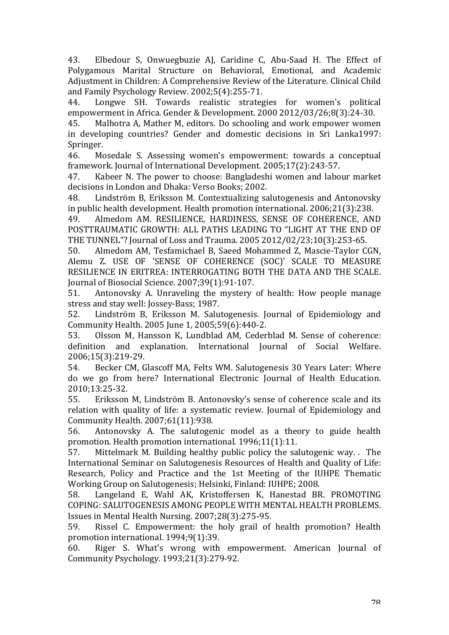43. Elbedour S, Onwuegbuzie AJ, Caridine C, Abu-Saad H. The Effect of Polygamous Marital Structure on Behavioral, Emotional, and Academic Adjustment in Children: A Comprehensive Review of the Literature. Clinical Child and Family Psychology Review. 2002;5(4):255-71.

44. Longwe SH. Towards realistic strategies for women's political empowerment in Africa. Gender & Development. 2000 2012/03/26;8(3):24-30.

45. Malhotra A, Mather M, editors. Do schooling and work empower women in developing countries? Gender and domestic decisions in Sri Lanka1997: Springer.

46. Mosedale S. Assessing women's empowerment: towards a conceptual framework. Journal of International Development. 2005;17(2):243-57.

47. Kabeer N. The power to choose: Bangladeshi women and labour market decisions in London and Dhaka: Verso Books: 2002.

48. Lindström B, Eriksson M. Contextualizing salutogenesis and Antonovsky in public health development. Health promotion international. 2006;21(3):238.

49. Almedom AM. RESILIENCE, HARDINESS, SENSE OF COHERENCE, AND POSTTRAUMATIC GROWTH: ALL PATHS LEADING TO "LIGHT AT THE END OF THE TUNNEL"? Journal of Loss and Trauma. 2005 2012/02/23;10(3):253-65.

50. Almedom AM, Tesfamichael B, Saeed Mohammed Z, Mascie-Taylor CGN, Alemu Z. USE OF 'SENSE OF COHERENCE (SOC)' SCALE TO MEASURE RESILIENCE IN ERITREA: INTERROGATING BOTH THE DATA AND THE SCALE. Journal of Biosocial Science. 2007;39(1):91-107.

51. Antonovsky A. Unraveling the mystery of health: How people manage stress and stay well: Jossey-Bass; 1987.

52. Lindström B, Eriksson M. Salutogenesis. Journal of Epidemiology and Community Health. 2005 June 1, 2005;59(6):440-2.

53. Olsson M, Hansson K, Lundblad AM, Cederblad M. Sense of coherence: definition and explanation. International Journal of Social Welfare. 2006;15(3):219-29.

54. Becker CM, Glascoff MA, Felts WM. Salutogenesis 30 Years Later: Where do we go from here? International Electronic Journal of Health Education. 2010;13:25-32.

55. Eriksson M, Lindström B. Antonovsky's sense of coherence scale and its relation with quality of life: a systematic review. Journal of Epidemiology and Community Health. 2007;61(11):938.

56. Antonovsky A. The salutogenic model as a theory to guide health promotion. Health promotion international. 1996:11(1):11.

57. Mittelmark M. Building healthy public policy the salutogenic way. . The International Seminar on Salutogenesis Resources of Health and Quality of Life: Research, Policy and Practice and the 1st Meeting of the IUHPE Thematic Working Group on Salutogenesis: Helsinki, Finland: IUHPE: 2008.

58. Langeland E, Wahl AK, Kristoffersen K, Hanestad BR. PROMOTING COPING: SALUTOGENESIS AMONG PEOPLE WITH MENTAL HEALTH PROBLEMS. Issues in Mental Health Nursing.  $2007;28(3):275-95$ .

59. Rissel C. Empowerment: the holy grail of health promotion? Health promotion international. 1994;9(1):39.

60. Riger S. What's wrong with empowerment. American Journal of Community Psychology. 1993;21(3):279-92.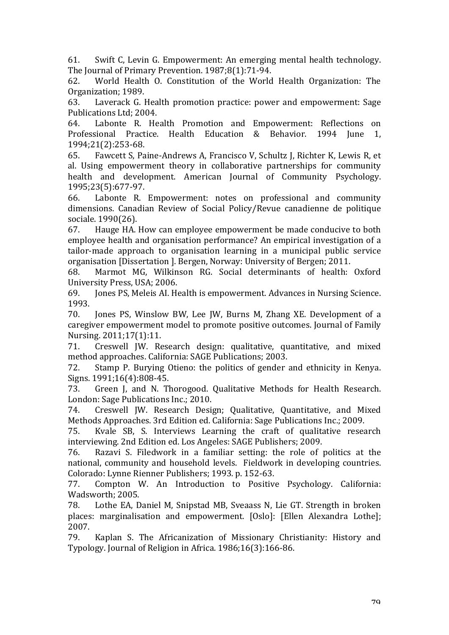61. Swift C, Levin G. Empowerment: An emerging mental health technology. The Journal of Primary Prevention. 1987;8(1):71-94.

62. World Health O. Constitution of the World Health Organization: The Organization; 1989.

63. Laverack G. Health promotion practice: power and empowerment: Sage Publications Ltd: 2004.

64. Labonte R. Health Promotion and Empowerment: Reflections on Professional Practice. Health Education & Behavior. 1994 June 1, 1994;21(2):253-68.

65. Fawcett S, Paine-Andrews A, Francisco V, Schultz J, Richter K, Lewis R, et al. Using empowerment theory in collaborative partnerships for community health and development. American Journal of Community Psychology. 1995;23(5):677-97.

66. Labonte R. Empowerment: notes on professional and community dimensions. Canadian Review of Social Policy/Revue canadienne de politique sociale. 1990(26).

67. Hauge HA, How can employee empowerment be made conducive to both employee health and organisation performance? An empirical investigation of a tailor-made approach to organisation learning in a municipal public service organisation [Dissertation ]. Bergen, Norway: University of Bergen; 2011.

68. Marmot MG, Wilkinson RG. Social determinants of health: Oxford University Press, USA; 2006.

69. **Jones PS, Meleis AI. Health is empowerment. Advances in Nursing Science.** 1993.

70. Jones PS, Winslow BW, Lee JW, Burns M, Zhang XE. Development of a caregiver empowerment model to promote positive outcomes. Journal of Family Nursing. 2011;17(1):11.

71. Creswell JW. Research design: qualitative, quantitative, and mixed method approaches. California: SAGE Publications; 2003.

72. Stamp P. Burying Otieno: the politics of gender and ethnicity in Kenya. Signs. 1991;16(4):808-45.

73. Green J, and N. Thorogood. Qualitative Methods for Health Research. London: Sage Publications Inc.; 2010.

74. Creswell JW. Research Design; Qualitative, Quantitative, and Mixed Methods Approaches. 3rd Edition ed. California: Sage Publications Inc.; 2009.

75. Kvale SB, S. Interviews Learning the craft of qualitative research interviewing. 2nd Edition ed. Los Angeles: SAGE Publishers: 2009.

76. Razavi S. Filedwork in a familiar setting: the role of politics at the national, community and household levels. Fieldwork in developing countries. Colorado: Lynne Rienner Publishers; 1993. p. 152-63.

77. Compton W. An Introduction to Positive Psychology. California: Wadsworth: 2005.

78. Lothe EA, Daniel M, Snipstad MB, Sveaass N, Lie GT. Strength in broken places: marginalisation and empowerment. [Oslo]: [Ellen Alexandra Lothe]; 2007.

79. Kaplan S. The Africanization of Missionary Christianity: History and Typology. Journal of Religion in Africa. 1986;16(3):166-86.